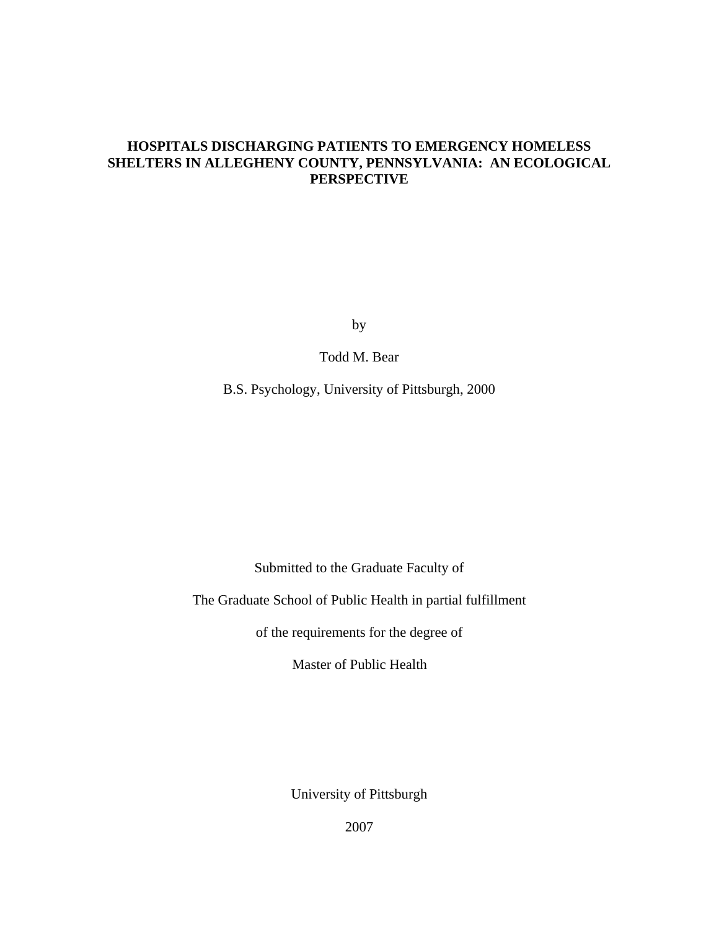# **HOSPITALS DISCHARGING PATIENTS TO EMERGENCY HOMELESS SHELTERS IN ALLEGHENY COUNTY, PENNSYLVANIA: AN ECOLOGICAL PERSPECTIVE**

by

Todd M. Bear

B.S. Psychology, University of Pittsburgh, 2000

Submitted to the Graduate Faculty of

The Graduate School of Public Health in partial fulfillment

of the requirements for the degree of

Master of Public Health

University of Pittsburgh

2007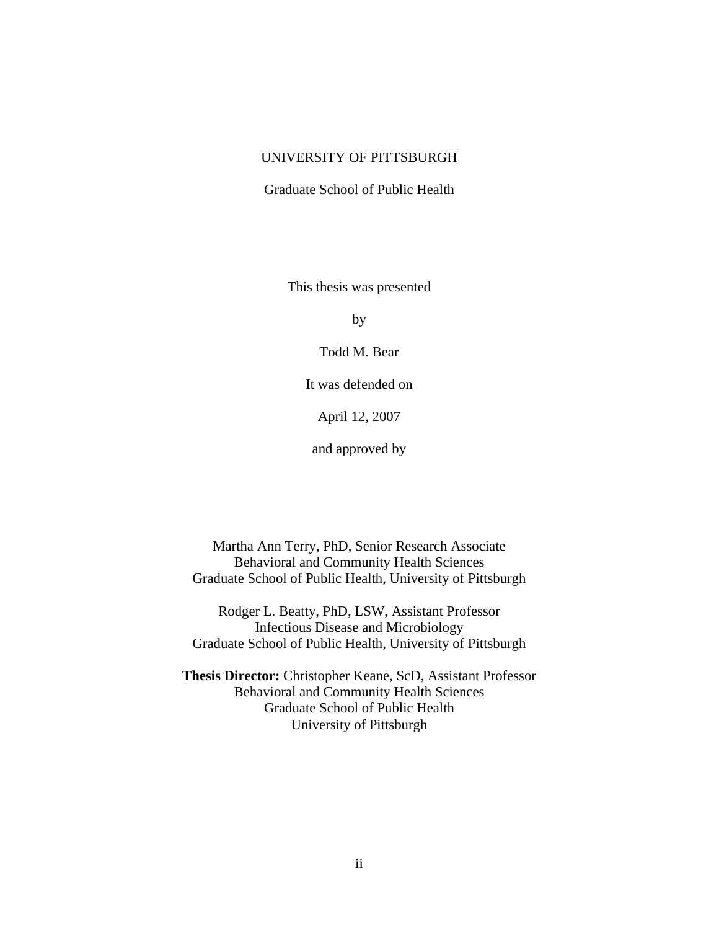# UNIVERSITY OF PITTSBURGH

### Graduate School of Public Health

This thesis was presented

by

Todd M. Bear

It was defended on

April 12, 2007

and approved by

Martha Ann Terry, PhD, Senior Research Associate Behavioral and Community Health Sciences Graduate School of Public Health, University of Pittsburgh

Rodger L. Beatty, PhD, LSW, Assistant Professor Infectious Disease and Microbiology Graduate School of Public Health, University of Pittsburgh

**Thesis Director:** Christopher Keane, ScD, Assistant Professor Behavioral and Community Health Sciences Graduate School of Public Health University of Pittsburgh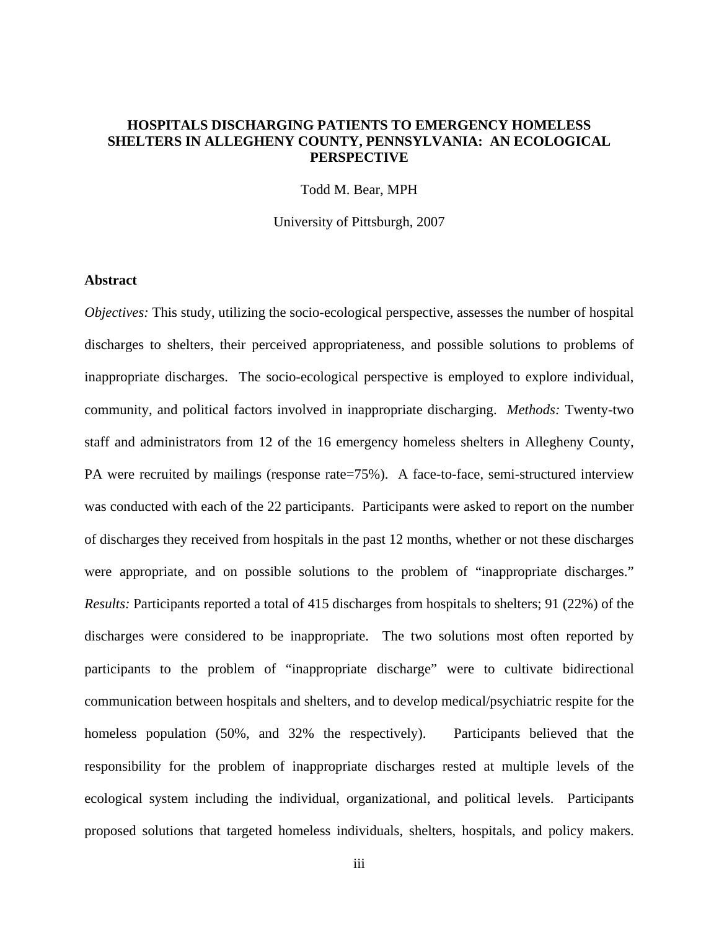# **HOSPITALS DISCHARGING PATIENTS TO EMERGENCY HOMELESS SHELTERS IN ALLEGHENY COUNTY, PENNSYLVANIA: AN ECOLOGICAL PERSPECTIVE**

Todd M. Bear, MPH

University of Pittsburgh, 2007

### **Abstract**

*Objectives:* This study, utilizing the socio-ecological perspective, assesses the number of hospital discharges to shelters, their perceived appropriateness, and possible solutions to problems of inappropriate discharges. The socio-ecological perspective is employed to explore individual, community, and political factors involved in inappropriate discharging. *Methods:* Twenty-two staff and administrators from 12 of the 16 emergency homeless shelters in Allegheny County, PA were recruited by mailings (response rate=75%). A face-to-face, semi-structured interview was conducted with each of the 22 participants. Participants were asked to report on the number of discharges they received from hospitals in the past 12 months, whether or not these discharges were appropriate, and on possible solutions to the problem of "inappropriate discharges." *Results:* Participants reported a total of 415 discharges from hospitals to shelters; 91 (22%) of the discharges were considered to be inappropriate. The two solutions most often reported by participants to the problem of "inappropriate discharge" were to cultivate bidirectional communication between hospitals and shelters, and to develop medical/psychiatric respite for the homeless population (50%, and 32% the respectively). Participants believed that the responsibility for the problem of inappropriate discharges rested at multiple levels of the ecological system including the individual, organizational, and political levels. Participants proposed solutions that targeted homeless individuals, shelters, hospitals, and policy makers.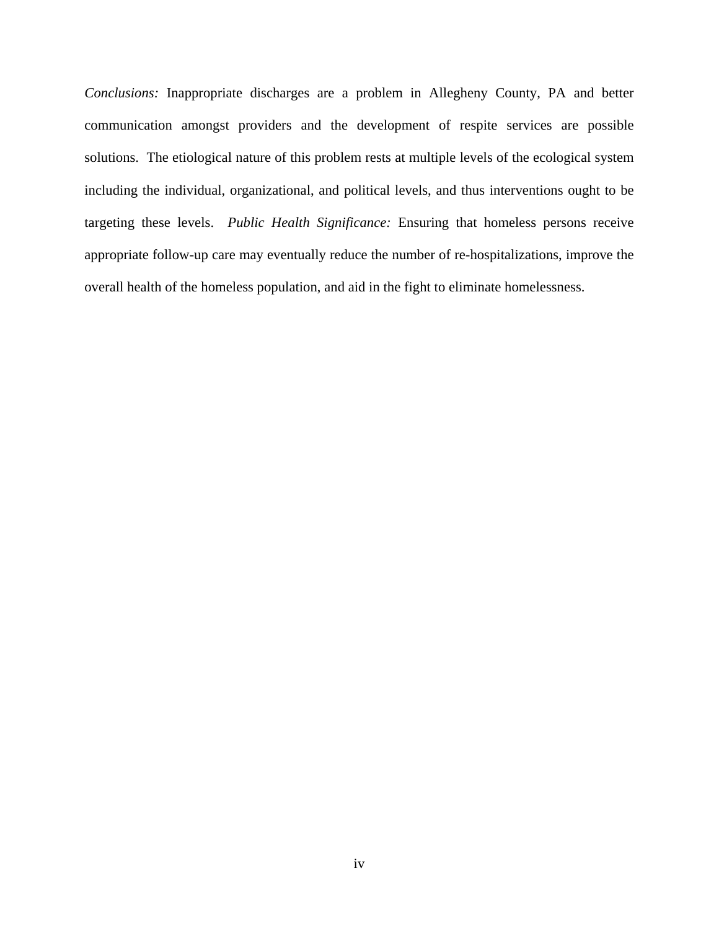*Conclusions:* Inappropriate discharges are a problem in Allegheny County, PA and better communication amongst providers and the development of respite services are possible solutions. The etiological nature of this problem rests at multiple levels of the ecological system including the individual, organizational, and political levels, and thus interventions ought to be targeting these levels. *Public Health Significance:* Ensuring that homeless persons receive appropriate follow-up care may eventually reduce the number of re-hospitalizations, improve the overall health of the homeless population, and aid in the fight to eliminate homelessness.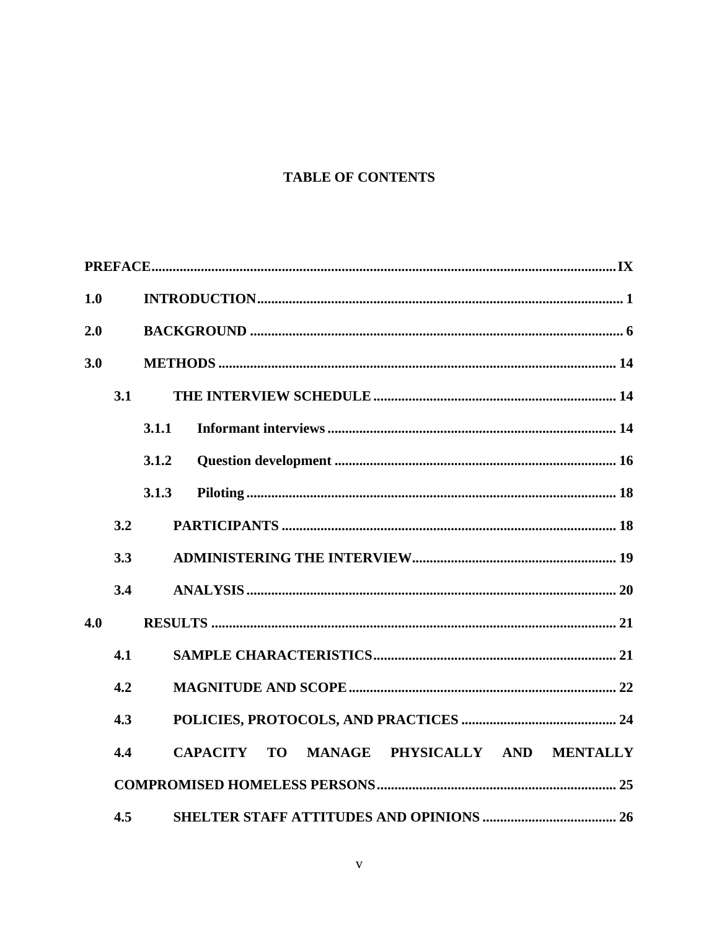# **TABLE OF CONTENTS**

| 1.0 |     |                                                           |
|-----|-----|-----------------------------------------------------------|
| 2.0 |     |                                                           |
| 3.0 |     |                                                           |
|     | 3.1 |                                                           |
|     |     | 3.1.1                                                     |
|     |     | 3.1.2                                                     |
|     |     | 3.1.3                                                     |
|     | 3.2 |                                                           |
|     | 3.3 |                                                           |
|     | 3.4 |                                                           |
| 4.0 |     |                                                           |
|     | 4.1 |                                                           |
|     | 4.2 |                                                           |
|     | 4.3 |                                                           |
|     | 4.4 | MANAGE PHYSICALLY AND MENTALLY<br><b>CAPACITY</b><br>TO T |
|     |     |                                                           |
|     | 4.5 |                                                           |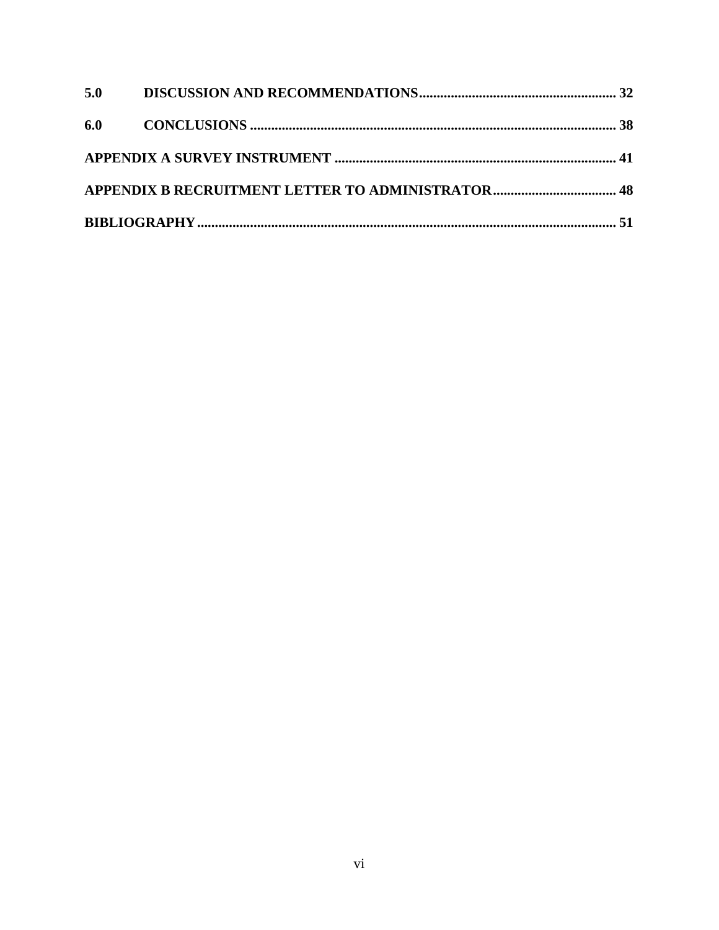| 5.0 |  |
|-----|--|
|     |  |
|     |  |
|     |  |
|     |  |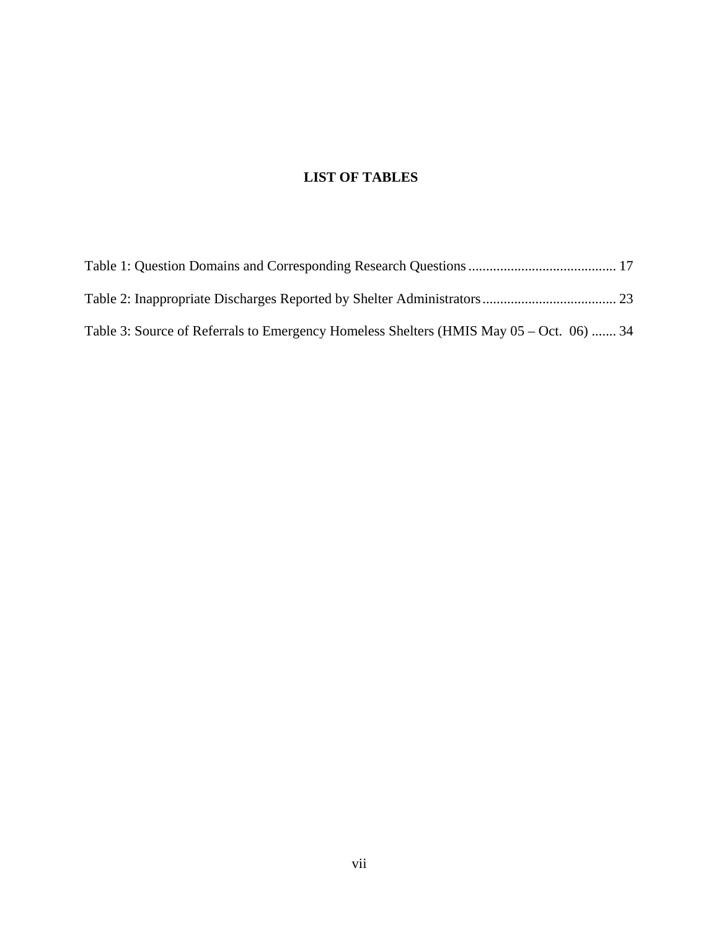# **LIST OF TABLES**

| Table 3: Source of Referrals to Emergency Homeless Shelters (HMIS May 05 – Oct. 06)  34 |  |
|-----------------------------------------------------------------------------------------|--|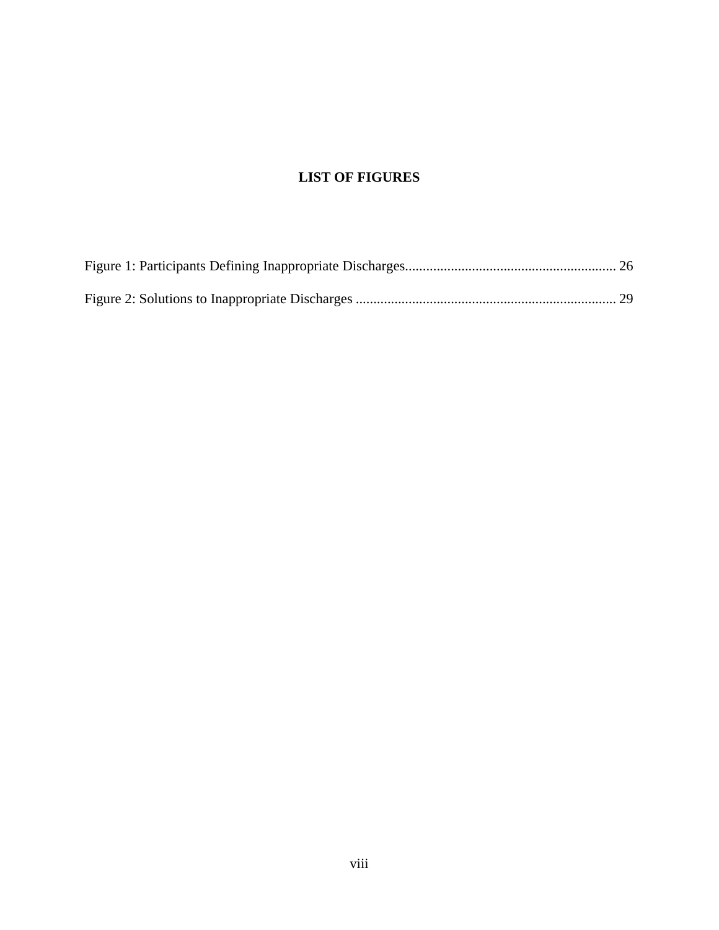# **LIST OF FIGURES**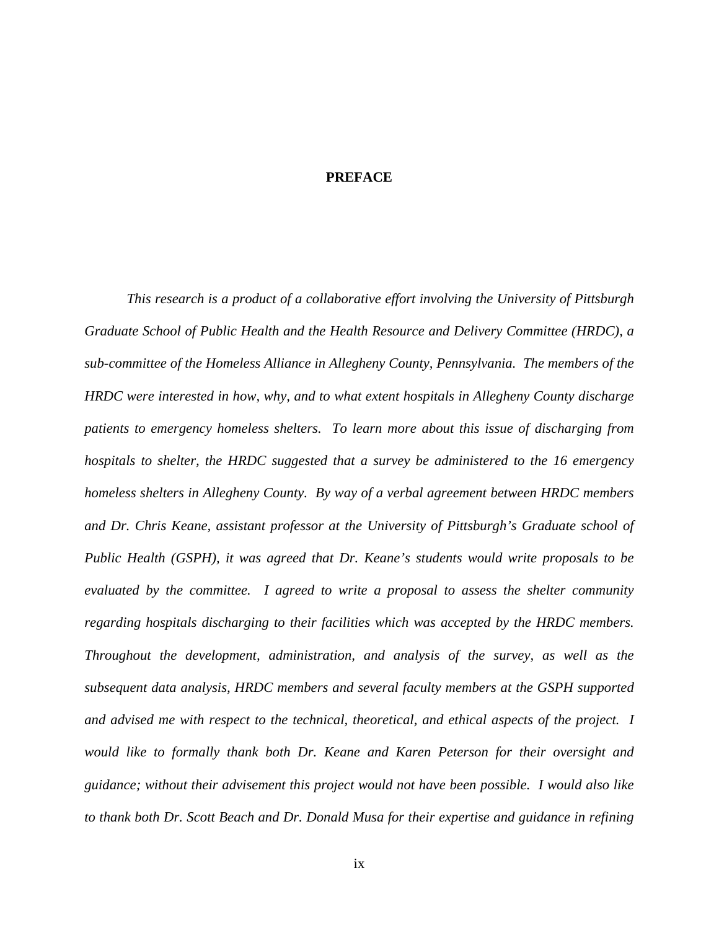### **PREFACE**

<span id="page-8-0"></span>*This research is a product of a collaborative effort involving the University of Pittsburgh Graduate School of Public Health and the Health Resource and Delivery Committee (HRDC), a sub-committee of the Homeless Alliance in Allegheny County, Pennsylvania. The members of the HRDC were interested in how, why, and to what extent hospitals in Allegheny County discharge patients to emergency homeless shelters. To learn more about this issue of discharging from hospitals to shelter, the HRDC suggested that a survey be administered to the 16 emergency homeless shelters in Allegheny County. By way of a verbal agreement between HRDC members and Dr. Chris Keane, assistant professor at the University of Pittsburgh's Graduate school of Public Health (GSPH), it was agreed that Dr. Keane's students would write proposals to be evaluated by the committee. I agreed to write a proposal to assess the shelter community regarding hospitals discharging to their facilities which was accepted by the HRDC members. Throughout the development, administration, and analysis of the survey, as well as the subsequent data analysis, HRDC members and several faculty members at the GSPH supported and advised me with respect to the technical, theoretical, and ethical aspects of the project. I would like to formally thank both Dr. Keane and Karen Peterson for their oversight and guidance; without their advisement this project would not have been possible. I would also like to thank both Dr. Scott Beach and Dr. Donald Musa for their expertise and guidance in refining*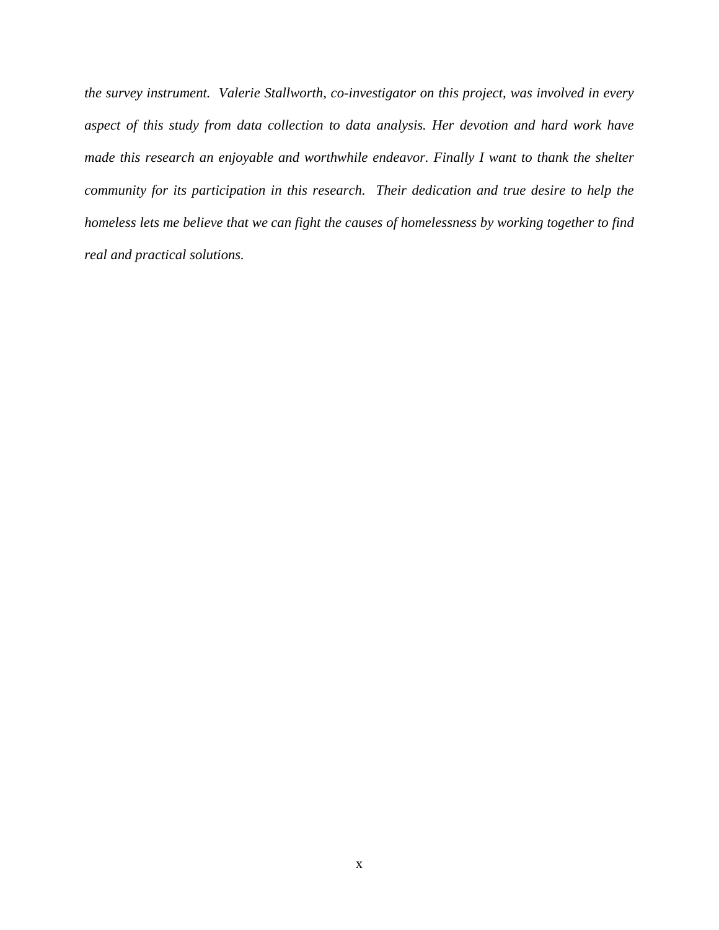*the survey instrument. Valerie Stallworth, co-investigator on this project, was involved in every aspect of this study from data collection to data analysis. Her devotion and hard work have made this research an enjoyable and worthwhile endeavor. Finally I want to thank the shelter community for its participation in this research. Their dedication and true desire to help the homeless lets me believe that we can fight the causes of homelessness by working together to find real and practical solutions.*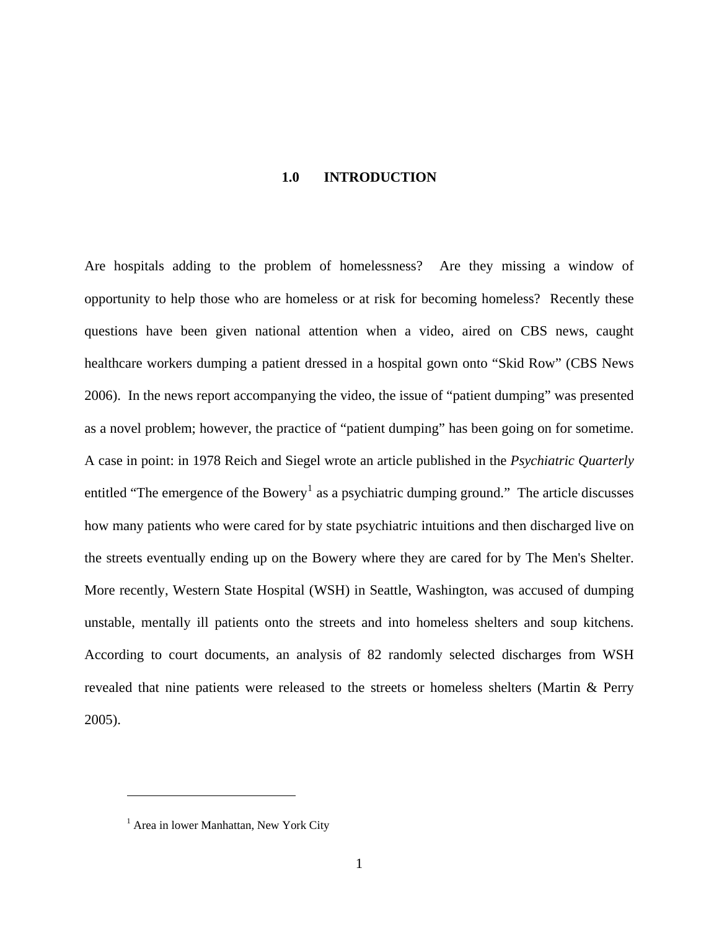### **1.0 INTRODUCTION**

<span id="page-10-0"></span>Are hospitals adding to the problem of homelessness? Are they missing a window of opportunity to help those who are homeless or at risk for becoming homeless? Recently these questions have been given national attention when a video, aired on CBS news, caught healthcare workers dumping a patient dressed in a hospital gown onto "Skid Row" (CBS News 2006). In the news report accompanying the video, the issue of "patient dumping" was presented as a novel problem; however, the practice of "patient dumping" has been going on for sometime. A case in point: in 1978 Reich and Siegel wrote an article published in the *Psychiatric Quarterly* entitled "The emergence of the Bowery<sup>[1](#page-10-1)</sup> as a psychiatric dumping ground." The article discusses how many patients who were cared for by state psychiatric intuitions and then discharged live on the streets eventually ending up on the Bowery where they are cared for by The Men's Shelter. More recently, Western State Hospital (WSH) in Seattle, Washington, was accused of dumping unstable, mentally ill patients onto the streets and into homeless shelters and soup kitchens. According to court documents, an analysis of 82 randomly selected discharges from WSH revealed that nine patients were released to the streets or homeless shelters (Martin & Perry 2005).

 $\overline{a}$ 

<span id="page-10-1"></span><sup>&</sup>lt;sup>1</sup> Area in lower Manhattan, New York City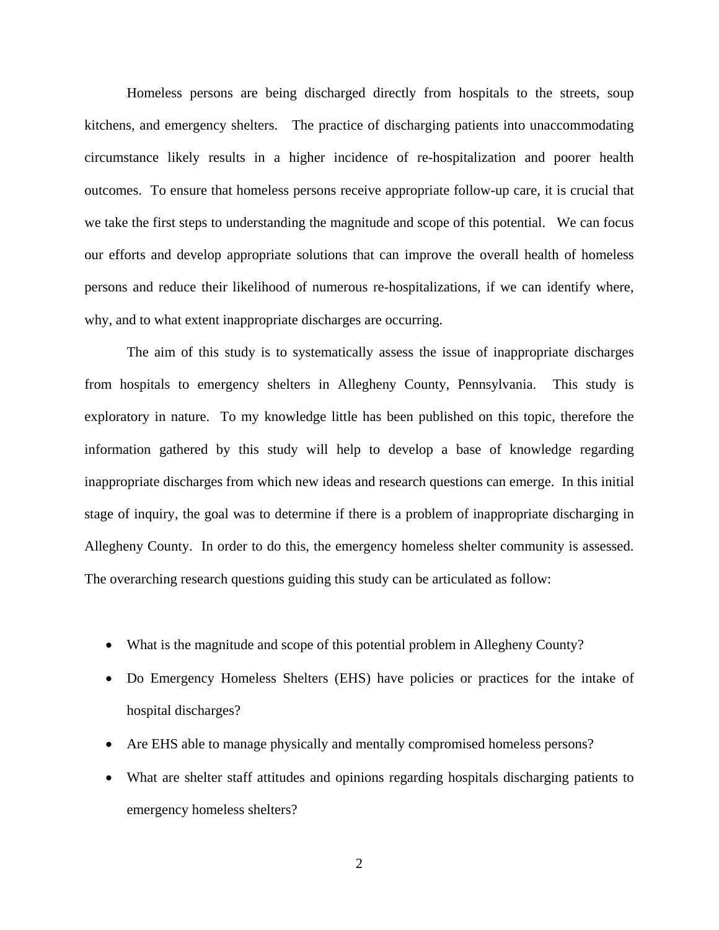Homeless persons are being discharged directly from hospitals to the streets, soup kitchens, and emergency shelters. The practice of discharging patients into unaccommodating circumstance likely results in a higher incidence of re-hospitalization and poorer health outcomes. To ensure that homeless persons receive appropriate follow-up care, it is crucial that we take the first steps to understanding the magnitude and scope of this potential. We can focus our efforts and develop appropriate solutions that can improve the overall health of homeless persons and reduce their likelihood of numerous re-hospitalizations, if we can identify where, why, and to what extent inappropriate discharges are occurring.

The aim of this study is to systematically assess the issue of inappropriate discharges from hospitals to emergency shelters in Allegheny County, Pennsylvania. This study is exploratory in nature. To my knowledge little has been published on this topic, therefore the information gathered by this study will help to develop a base of knowledge regarding inappropriate discharges from which new ideas and research questions can emerge. In this initial stage of inquiry, the goal was to determine if there is a problem of inappropriate discharging in Allegheny County. In order to do this, the emergency homeless shelter community is assessed. The overarching research questions guiding this study can be articulated as follow:

- What is the magnitude and scope of this potential problem in Allegheny County?
- Do Emergency Homeless Shelters (EHS) have policies or practices for the intake of hospital discharges?
- Are EHS able to manage physically and mentally compromised homeless persons?
- What are shelter staff attitudes and opinions regarding hospitals discharging patients to emergency homeless shelters?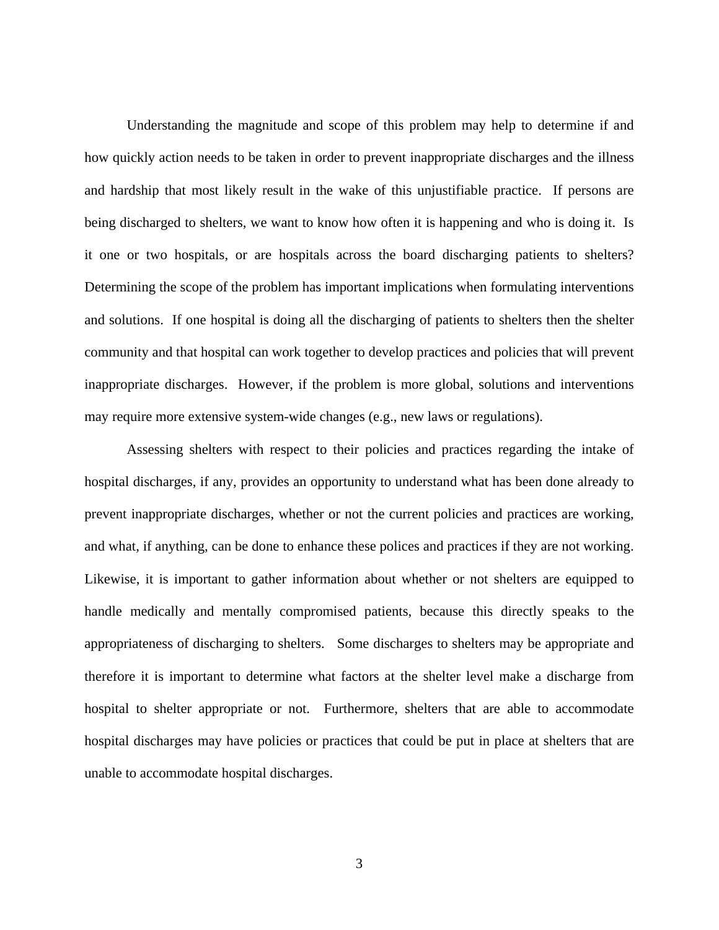Understanding the magnitude and scope of this problem may help to determine if and how quickly action needs to be taken in order to prevent inappropriate discharges and the illness and hardship that most likely result in the wake of this unjustifiable practice. If persons are being discharged to shelters, we want to know how often it is happening and who is doing it. Is it one or two hospitals, or are hospitals across the board discharging patients to shelters? Determining the scope of the problem has important implications when formulating interventions and solutions. If one hospital is doing all the discharging of patients to shelters then the shelter community and that hospital can work together to develop practices and policies that will prevent inappropriate discharges. However, if the problem is more global, solutions and interventions may require more extensive system-wide changes (e.g., new laws or regulations).

 Assessing shelters with respect to their policies and practices regarding the intake of hospital discharges, if any, provides an opportunity to understand what has been done already to prevent inappropriate discharges, whether or not the current policies and practices are working, and what, if anything, can be done to enhance these polices and practices if they are not working. Likewise, it is important to gather information about whether or not shelters are equipped to handle medically and mentally compromised patients, because this directly speaks to the appropriateness of discharging to shelters. Some discharges to shelters may be appropriate and therefore it is important to determine what factors at the shelter level make a discharge from hospital to shelter appropriate or not. Furthermore, shelters that are able to accommodate hospital discharges may have policies or practices that could be put in place at shelters that are unable to accommodate hospital discharges.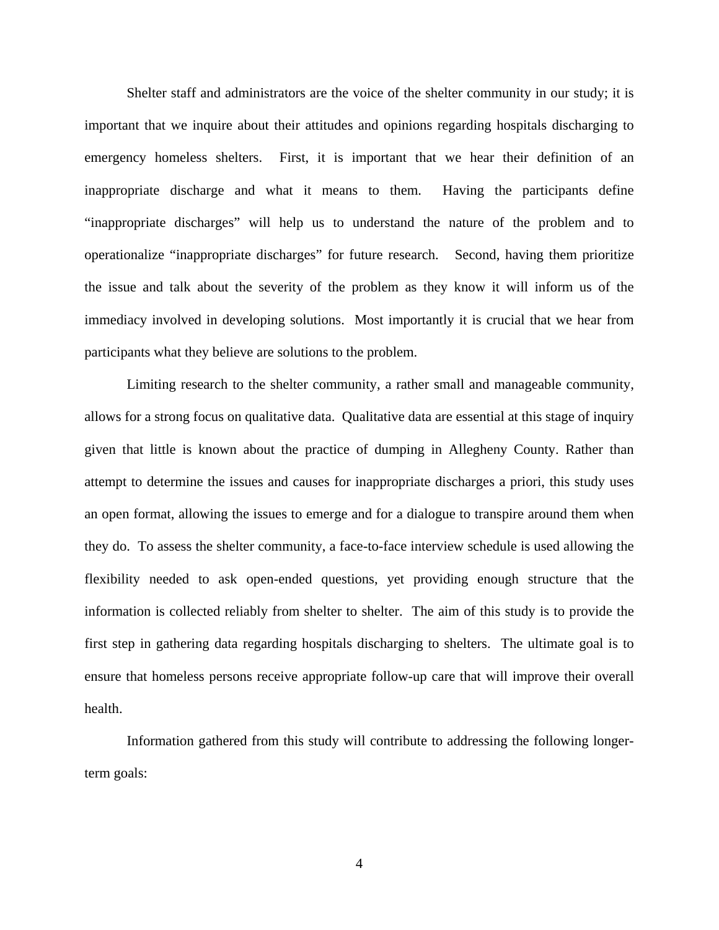Shelter staff and administrators are the voice of the shelter community in our study; it is important that we inquire about their attitudes and opinions regarding hospitals discharging to emergency homeless shelters. First, it is important that we hear their definition of an inappropriate discharge and what it means to them. Having the participants define "inappropriate discharges" will help us to understand the nature of the problem and to operationalize "inappropriate discharges" for future research. Second, having them prioritize the issue and talk about the severity of the problem as they know it will inform us of the immediacy involved in developing solutions. Most importantly it is crucial that we hear from participants what they believe are solutions to the problem.

 Limiting research to the shelter community, a rather small and manageable community, allows for a strong focus on qualitative data. Qualitative data are essential at this stage of inquiry given that little is known about the practice of dumping in Allegheny County. Rather than attempt to determine the issues and causes for inappropriate discharges a priori, this study uses an open format, allowing the issues to emerge and for a dialogue to transpire around them when they do. To assess the shelter community, a face-to-face interview schedule is used allowing the flexibility needed to ask open-ended questions, yet providing enough structure that the information is collected reliably from shelter to shelter. The aim of this study is to provide the first step in gathering data regarding hospitals discharging to shelters. The ultimate goal is to ensure that homeless persons receive appropriate follow-up care that will improve their overall health.

 Information gathered from this study will contribute to addressing the following longerterm goals: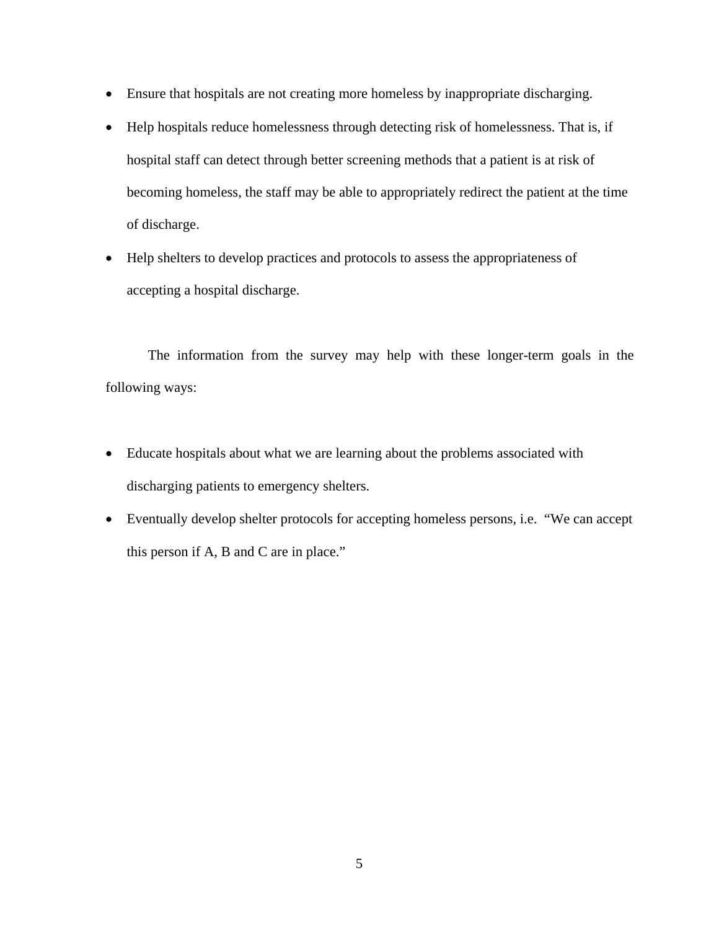- Ensure that hospitals are not creating more homeless by inappropriate discharging.
- Help hospitals reduce homelessness through detecting risk of homelessness. That is, if hospital staff can detect through better screening methods that a patient is at risk of becoming homeless, the staff may be able to appropriately redirect the patient at the time of discharge.
- Help shelters to develop practices and protocols to assess the appropriateness of accepting a hospital discharge.

The information from the survey may help with these longer-term goals in the following ways:

- Educate hospitals about what we are learning about the problems associated with discharging patients to emergency shelters.
- Eventually develop shelter protocols for accepting homeless persons, i.e. "We can accept this person if A, B and C are in place."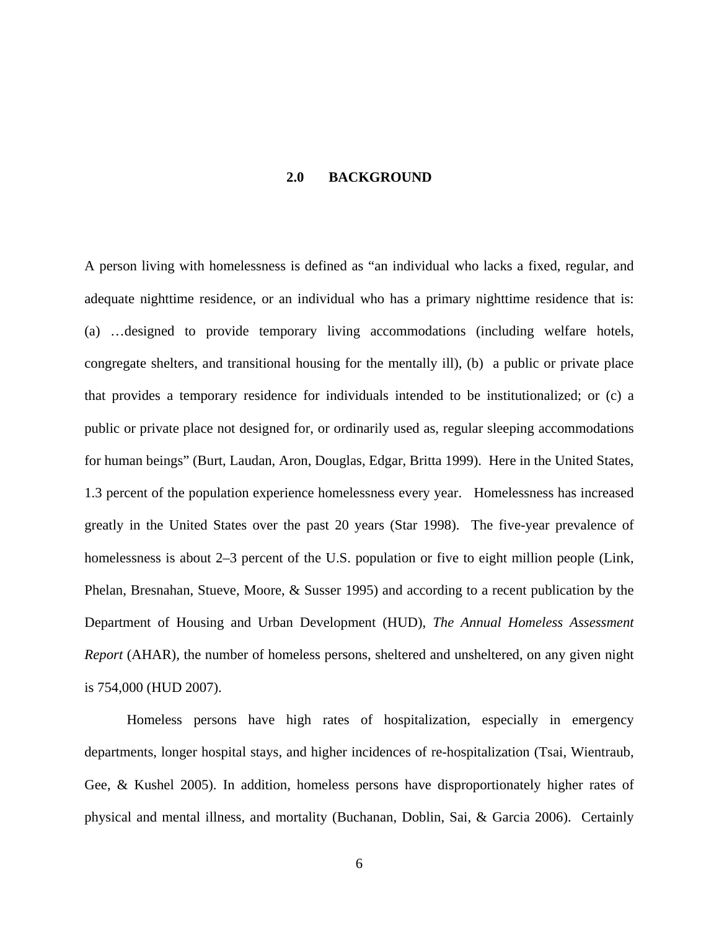### **2.0 BACKGROUND**

<span id="page-15-0"></span>A person living with homelessness is defined as "an individual who lacks a fixed, regular, and adequate nighttime residence, or an individual who has a primary nighttime residence that is: (a) …designed to provide temporary living accommodations (including welfare hotels, congregate shelters, and transitional housing for the mentally ill), (b) a public or private place that provides a temporary residence for individuals intended to be institutionalized; or (c) a public or private place not designed for, or ordinarily used as, regular sleeping accommodations for human beings" (Burt, Laudan, Aron, Douglas, Edgar, Britta 1999). Here in the United States, 1.3 percent of the population experience homelessness every year. Homelessness has increased greatly in the United States over the past 20 years (Star 1998). The five-year prevalence of homelessness is about 2–3 percent of the U.S. population or five to eight million people (Link, Phelan, Bresnahan, Stueve, Moore, & Susser 1995) and according to a recent publication by the Department of Housing and Urban Development (HUD), *The Annual Homeless Assessment Report* (AHAR), the number of homeless persons, sheltered and unsheltered, on any given night is 754,000 (HUD 2007).

Homeless persons have high rates of hospitalization, especially in emergency departments, longer hospital stays, and higher incidences of re-hospitalization (Tsai, Wientraub, Gee, & Kushel 2005). In addition, homeless persons have disproportionately higher rates of physical and mental illness, and mortality (Buchanan, Doblin, Sai, & Garcia 2006). Certainly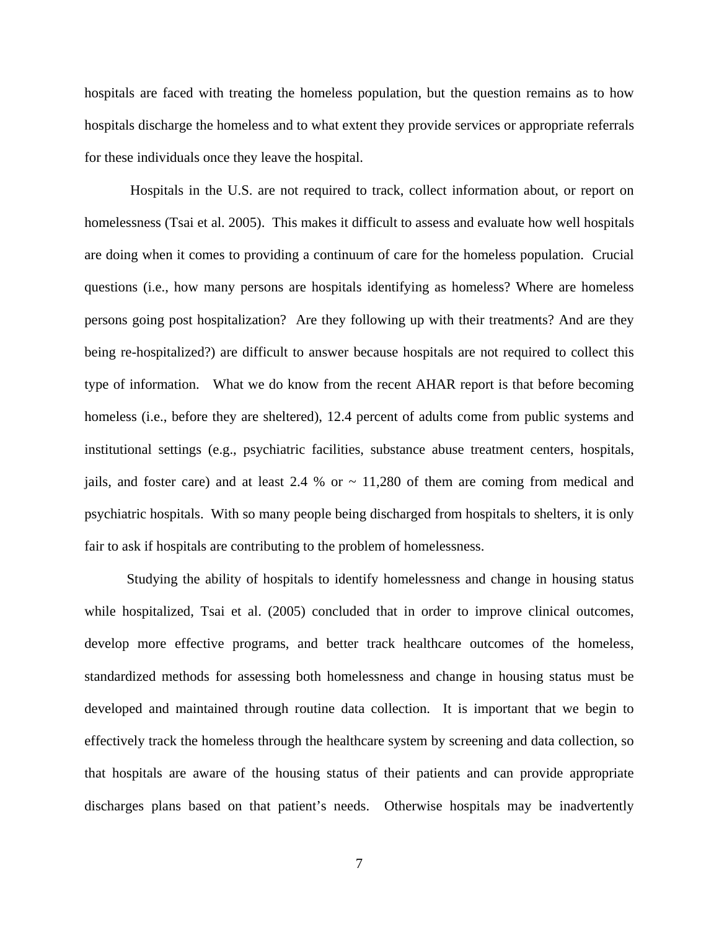hospitals are faced with treating the homeless population, but the question remains as to how hospitals discharge the homeless and to what extent they provide services or appropriate referrals for these individuals once they leave the hospital.

 Hospitals in the U.S. are not required to track, collect information about, or report on homelessness (Tsai et al. 2005). This makes it difficult to assess and evaluate how well hospitals are doing when it comes to providing a continuum of care for the homeless population. Crucial questions (i.e., how many persons are hospitals identifying as homeless? Where are homeless persons going post hospitalization? Are they following up with their treatments? And are they being re-hospitalized?) are difficult to answer because hospitals are not required to collect this type of information. What we do know from the recent AHAR report is that before becoming homeless (i.e., before they are sheltered), 12.4 percent of adults come from public systems and institutional settings (e.g., psychiatric facilities, substance abuse treatment centers, hospitals, jails, and foster care) and at least 2.4 % or  $\sim$  11,280 of them are coming from medical and psychiatric hospitals. With so many people being discharged from hospitals to shelters, it is only fair to ask if hospitals are contributing to the problem of homelessness.

Studying the ability of hospitals to identify homelessness and change in housing status while hospitalized, Tsai et al. (2005) concluded that in order to improve clinical outcomes, develop more effective programs, and better track healthcare outcomes of the homeless, standardized methods for assessing both homelessness and change in housing status must be developed and maintained through routine data collection. It is important that we begin to effectively track the homeless through the healthcare system by screening and data collection, so that hospitals are aware of the housing status of their patients and can provide appropriate discharges plans based on that patient's needs. Otherwise hospitals may be inadvertently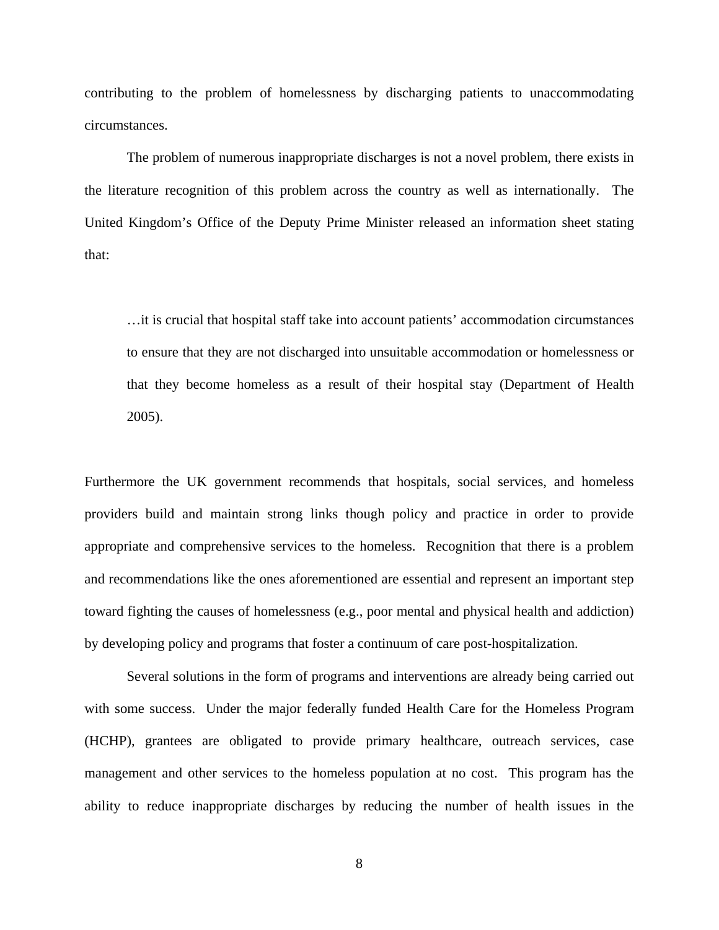contributing to the problem of homelessness by discharging patients to unaccommodating circumstances.

The problem of numerous inappropriate discharges is not a novel problem, there exists in the literature recognition of this problem across the country as well as internationally. The United Kingdom's Office of the Deputy Prime Minister released an information sheet stating that:

…it is crucial that hospital staff take into account patients' accommodation circumstances to ensure that they are not discharged into unsuitable accommodation or homelessness or that they become homeless as a result of their hospital stay (Department of Health 2005).

Furthermore the UK government recommends that hospitals, social services, and homeless providers build and maintain strong links though policy and practice in order to provide appropriate and comprehensive services to the homeless. Recognition that there is a problem and recommendations like the ones aforementioned are essential and represent an important step toward fighting the causes of homelessness (e.g., poor mental and physical health and addiction) by developing policy and programs that foster a continuum of care post-hospitalization.

Several solutions in the form of programs and interventions are already being carried out with some success. Under the major federally funded Health Care for the Homeless Program (HCHP), grantees are obligated to provide primary healthcare, outreach services, case management and other services to the homeless population at no cost. This program has the ability to reduce inappropriate discharges by reducing the number of health issues in the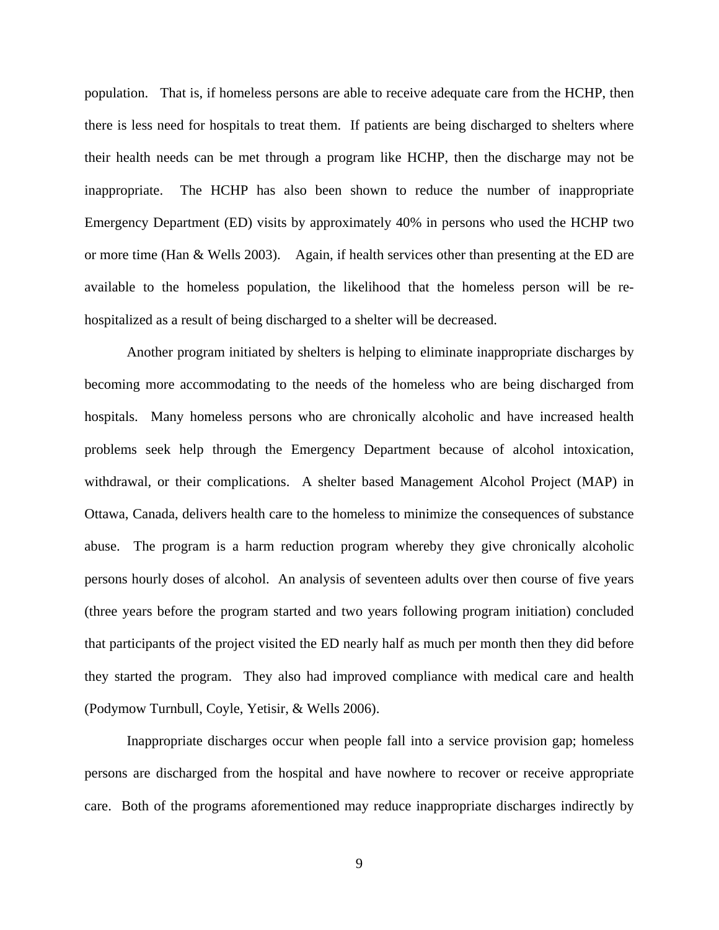population. That is, if homeless persons are able to receive adequate care from the HCHP, then there is less need for hospitals to treat them. If patients are being discharged to shelters where their health needs can be met through a program like HCHP, then the discharge may not be inappropriate. The HCHP has also been shown to reduce the number of inappropriate Emergency Department (ED) visits by approximately 40% in persons who used the HCHP two or more time (Han & Wells 2003). Again, if health services other than presenting at the ED are available to the homeless population, the likelihood that the homeless person will be rehospitalized as a result of being discharged to a shelter will be decreased.

Another program initiated by shelters is helping to eliminate inappropriate discharges by becoming more accommodating to the needs of the homeless who are being discharged from hospitals. Many homeless persons who are chronically alcoholic and have increased health problems seek help through the Emergency Department because of alcohol intoxication, withdrawal, or their complications. A shelter based Management Alcohol Project (MAP) in Ottawa, Canada, delivers health care to the homeless to minimize the consequences of substance abuse. The program is a harm reduction program whereby they give chronically alcoholic persons hourly doses of alcohol. An analysis of seventeen adults over then course of five years (three years before the program started and two years following program initiation) concluded that participants of the project visited the ED nearly half as much per month then they did before they started the program. They also had improved compliance with medical care and health (Podymow Turnbull, Coyle, Yetisir, & Wells 2006).

Inappropriate discharges occur when people fall into a service provision gap; homeless persons are discharged from the hospital and have nowhere to recover or receive appropriate care. Both of the programs aforementioned may reduce inappropriate discharges indirectly by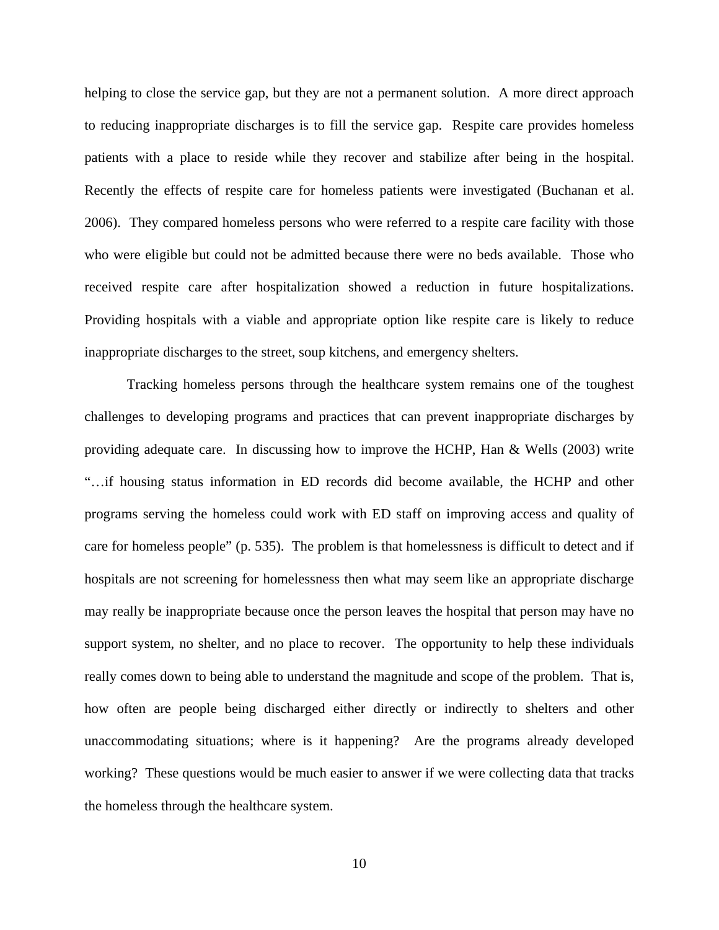helping to close the service gap, but they are not a permanent solution. A more direct approach to reducing inappropriate discharges is to fill the service gap. Respite care provides homeless patients with a place to reside while they recover and stabilize after being in the hospital. Recently the effects of respite care for homeless patients were investigated (Buchanan et al. 2006). They compared homeless persons who were referred to a respite care facility with those who were eligible but could not be admitted because there were no beds available. Those who received respite care after hospitalization showed a reduction in future hospitalizations. Providing hospitals with a viable and appropriate option like respite care is likely to reduce inappropriate discharges to the street, soup kitchens, and emergency shelters.

Tracking homeless persons through the healthcare system remains one of the toughest challenges to developing programs and practices that can prevent inappropriate discharges by providing adequate care. In discussing how to improve the HCHP, Han & Wells (2003) write "…if housing status information in ED records did become available, the HCHP and other programs serving the homeless could work with ED staff on improving access and quality of care for homeless people" (p. 535). The problem is that homelessness is difficult to detect and if hospitals are not screening for homelessness then what may seem like an appropriate discharge may really be inappropriate because once the person leaves the hospital that person may have no support system, no shelter, and no place to recover. The opportunity to help these individuals really comes down to being able to understand the magnitude and scope of the problem. That is, how often are people being discharged either directly or indirectly to shelters and other unaccommodating situations; where is it happening? Are the programs already developed working? These questions would be much easier to answer if we were collecting data that tracks the homeless through the healthcare system.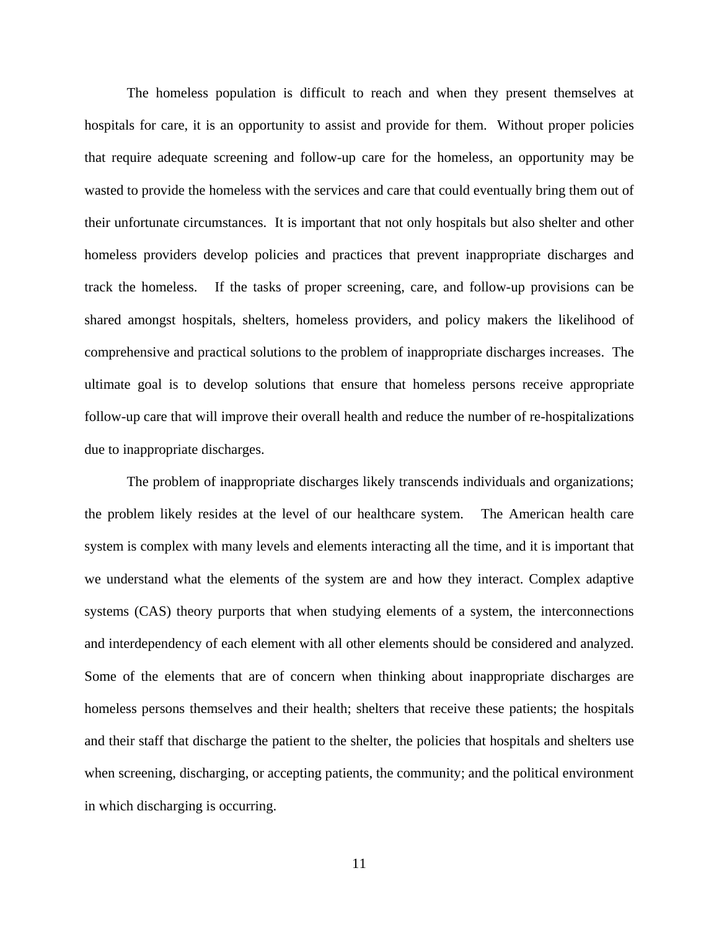The homeless population is difficult to reach and when they present themselves at hospitals for care, it is an opportunity to assist and provide for them. Without proper policies that require adequate screening and follow-up care for the homeless, an opportunity may be wasted to provide the homeless with the services and care that could eventually bring them out of their unfortunate circumstances. It is important that not only hospitals but also shelter and other homeless providers develop policies and practices that prevent inappropriate discharges and track the homeless. If the tasks of proper screening, care, and follow-up provisions can be shared amongst hospitals, shelters, homeless providers, and policy makers the likelihood of comprehensive and practical solutions to the problem of inappropriate discharges increases. The ultimate goal is to develop solutions that ensure that homeless persons receive appropriate follow-up care that will improve their overall health and reduce the number of re-hospitalizations due to inappropriate discharges.

The problem of inappropriate discharges likely transcends individuals and organizations; the problem likely resides at the level of our healthcare system. The American health care system is complex with many levels and elements interacting all the time, and it is important that we understand what the elements of the system are and how they interact. Complex adaptive systems (CAS) theory purports that when studying elements of a system, the interconnections and interdependency of each element with all other elements should be considered and analyzed. Some of the elements that are of concern when thinking about inappropriate discharges are homeless persons themselves and their health; shelters that receive these patients; the hospitals and their staff that discharge the patient to the shelter, the policies that hospitals and shelters use when screening, discharging, or accepting patients, the community; and the political environment in which discharging is occurring.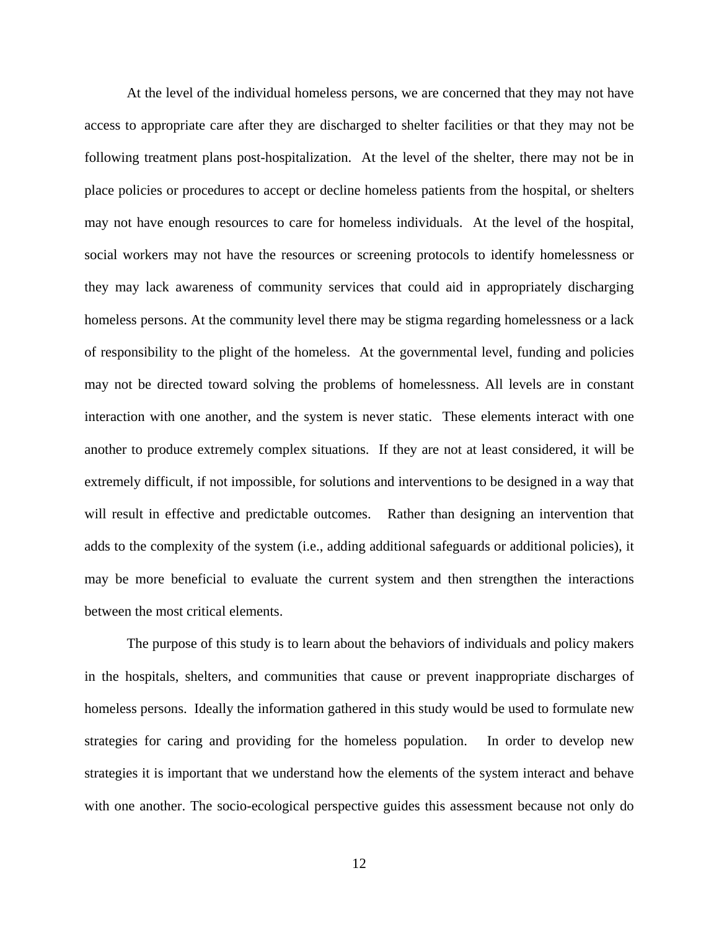At the level of the individual homeless persons, we are concerned that they may not have access to appropriate care after they are discharged to shelter facilities or that they may not be following treatment plans post-hospitalization. At the level of the shelter, there may not be in place policies or procedures to accept or decline homeless patients from the hospital, or shelters may not have enough resources to care for homeless individuals. At the level of the hospital, social workers may not have the resources or screening protocols to identify homelessness or they may lack awareness of community services that could aid in appropriately discharging homeless persons. At the community level there may be stigma regarding homelessness or a lack of responsibility to the plight of the homeless. At the governmental level, funding and policies may not be directed toward solving the problems of homelessness. All levels are in constant interaction with one another, and the system is never static. These elements interact with one another to produce extremely complex situations. If they are not at least considered, it will be extremely difficult, if not impossible, for solutions and interventions to be designed in a way that will result in effective and predictable outcomes. Rather than designing an intervention that adds to the complexity of the system (i.e., adding additional safeguards or additional policies), it may be more beneficial to evaluate the current system and then strengthen the interactions between the most critical elements.

The purpose of this study is to learn about the behaviors of individuals and policy makers in the hospitals, shelters, and communities that cause or prevent inappropriate discharges of homeless persons. Ideally the information gathered in this study would be used to formulate new strategies for caring and providing for the homeless population. In order to develop new strategies it is important that we understand how the elements of the system interact and behave with one another. The socio-ecological perspective guides this assessment because not only do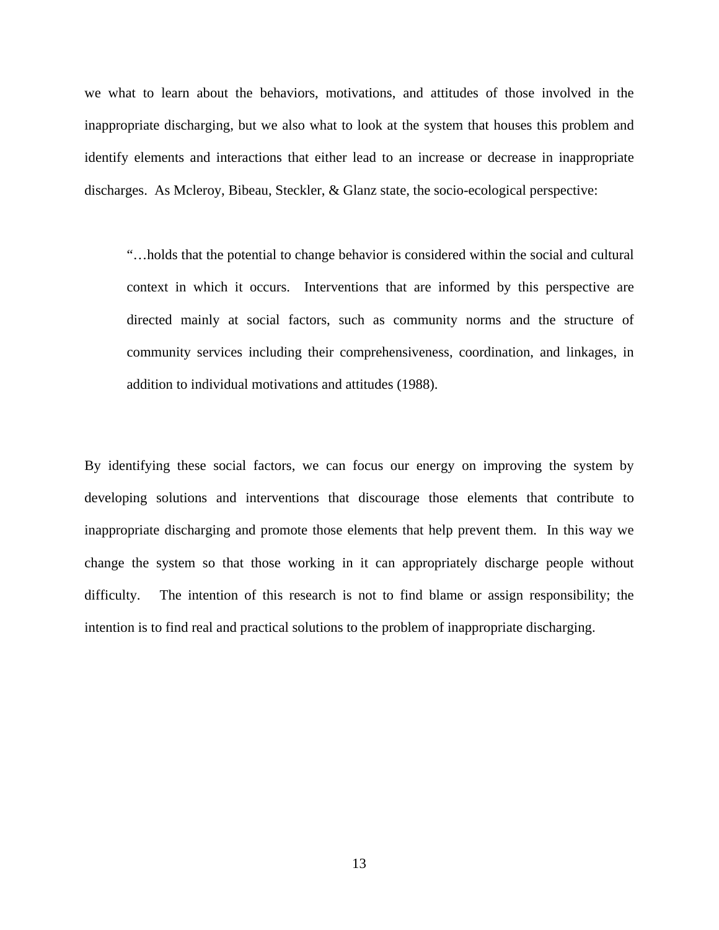we what to learn about the behaviors, motivations, and attitudes of those involved in the inappropriate discharging, but we also what to look at the system that houses this problem and identify elements and interactions that either lead to an increase or decrease in inappropriate discharges. As Mcleroy, Bibeau, Steckler, & Glanz state, the socio-ecological perspective:

"…holds that the potential to change behavior is considered within the social and cultural context in which it occurs. Interventions that are informed by this perspective are directed mainly at social factors, such as community norms and the structure of community services including their comprehensiveness, coordination, and linkages, in addition to individual motivations and attitudes (1988).

By identifying these social factors, we can focus our energy on improving the system by developing solutions and interventions that discourage those elements that contribute to inappropriate discharging and promote those elements that help prevent them. In this way we change the system so that those working in it can appropriately discharge people without difficulty. The intention of this research is not to find blame or assign responsibility; the intention is to find real and practical solutions to the problem of inappropriate discharging.

13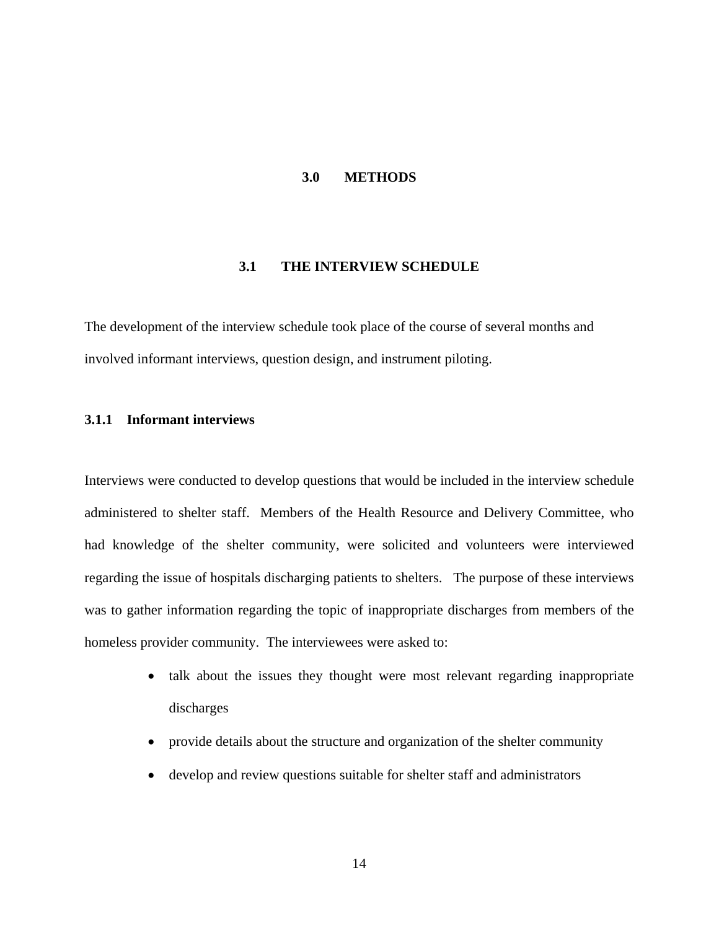### **3.0 METHODS**

### **3.1 THE INTERVIEW SCHEDULE**

<span id="page-23-0"></span>The development of the interview schedule took place of the course of several months and involved informant interviews, question design, and instrument piloting.

# **3.1.1 Informant interviews**

Interviews were conducted to develop questions that would be included in the interview schedule administered to shelter staff. Members of the Health Resource and Delivery Committee, who had knowledge of the shelter community, were solicited and volunteers were interviewed regarding the issue of hospitals discharging patients to shelters. The purpose of these interviews was to gather information regarding the topic of inappropriate discharges from members of the homeless provider community. The interviewees were asked to:

- talk about the issues they thought were most relevant regarding inappropriate discharges
- provide details about the structure and organization of the shelter community
- develop and review questions suitable for shelter staff and administrators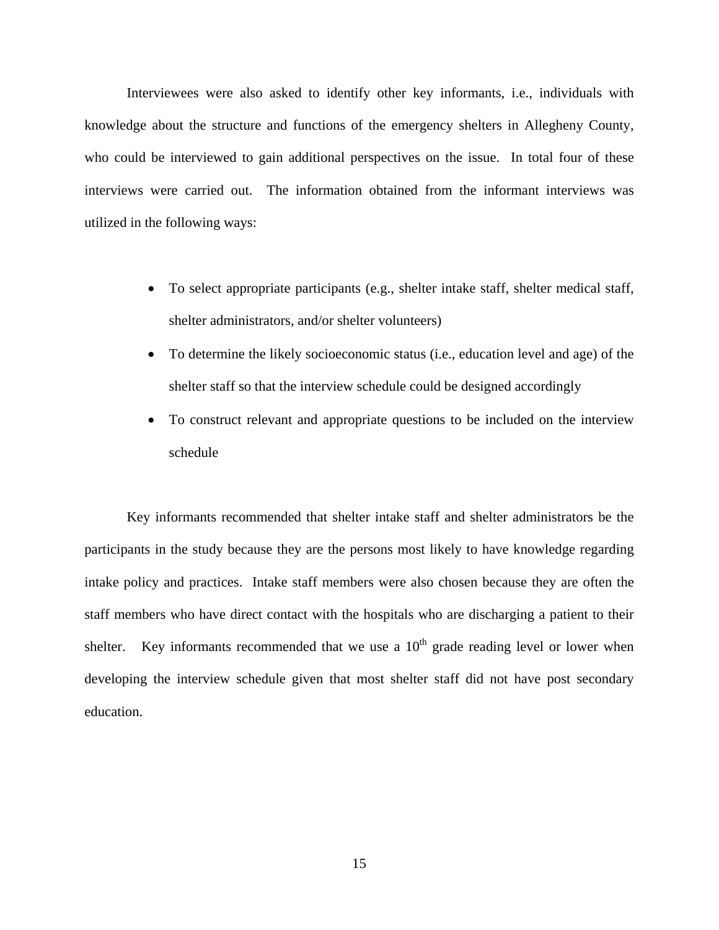Interviewees were also asked to identify other key informants, i.e., individuals with knowledge about the structure and functions of the emergency shelters in Allegheny County, who could be interviewed to gain additional perspectives on the issue. In total four of these interviews were carried out. The information obtained from the informant interviews was utilized in the following ways:

- To select appropriate participants (e.g., shelter intake staff, shelter medical staff, shelter administrators, and/or shelter volunteers)
- To determine the likely socioeconomic status (i.e., education level and age) of the shelter staff so that the interview schedule could be designed accordingly
- To construct relevant and appropriate questions to be included on the interview schedule

 Key informants recommended that shelter intake staff and shelter administrators be the participants in the study because they are the persons most likely to have knowledge regarding intake policy and practices. Intake staff members were also chosen because they are often the staff members who have direct contact with the hospitals who are discharging a patient to their shelter. Key informants recommended that we use a  $10<sup>th</sup>$  grade reading level or lower when developing the interview schedule given that most shelter staff did not have post secondary education.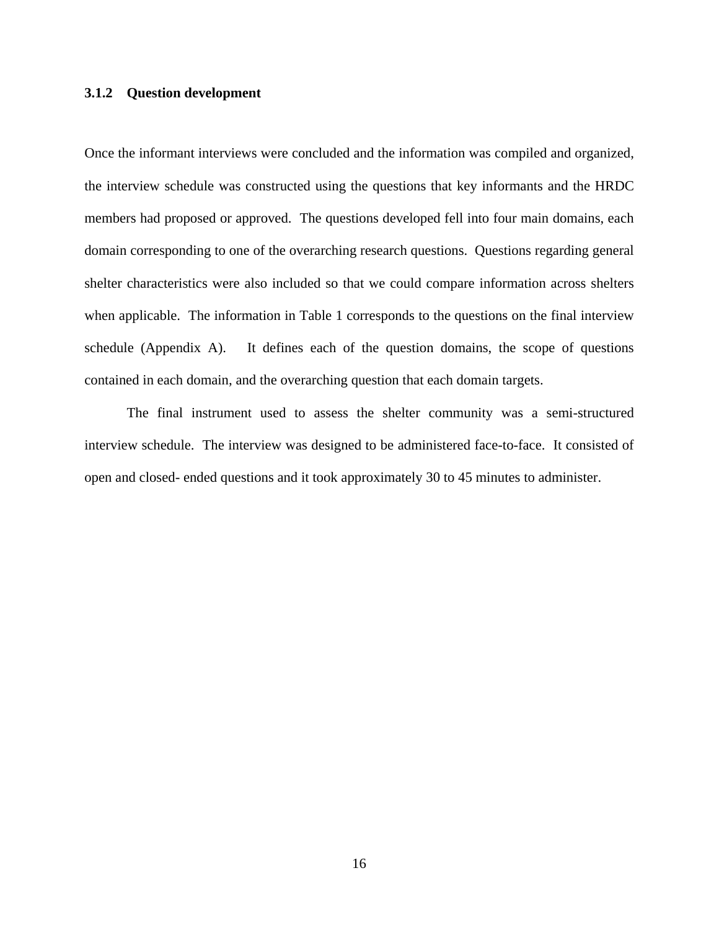### <span id="page-25-0"></span>**3.1.2 Question development**

Once the informant interviews were concluded and the information was compiled and organized, the interview schedule was constructed using the questions that key informants and the HRDC members had proposed or approved. The questions developed fell into four main domains, each domain corresponding to one of the overarching research questions. Questions regarding general shelter characteristics were also included so that we could compare information across shelters when applicable. The information in Table 1 corresponds to the questions on the final interview schedule (Appendix A). It defines each of the question domains, the scope of questions contained in each domain, and the overarching question that each domain targets.

 The final instrument used to assess the shelter community was a semi-structured interview schedule. The interview was designed to be administered face-to-face. It consisted of open and closed- ended questions and it took approximately 30 to 45 minutes to administer.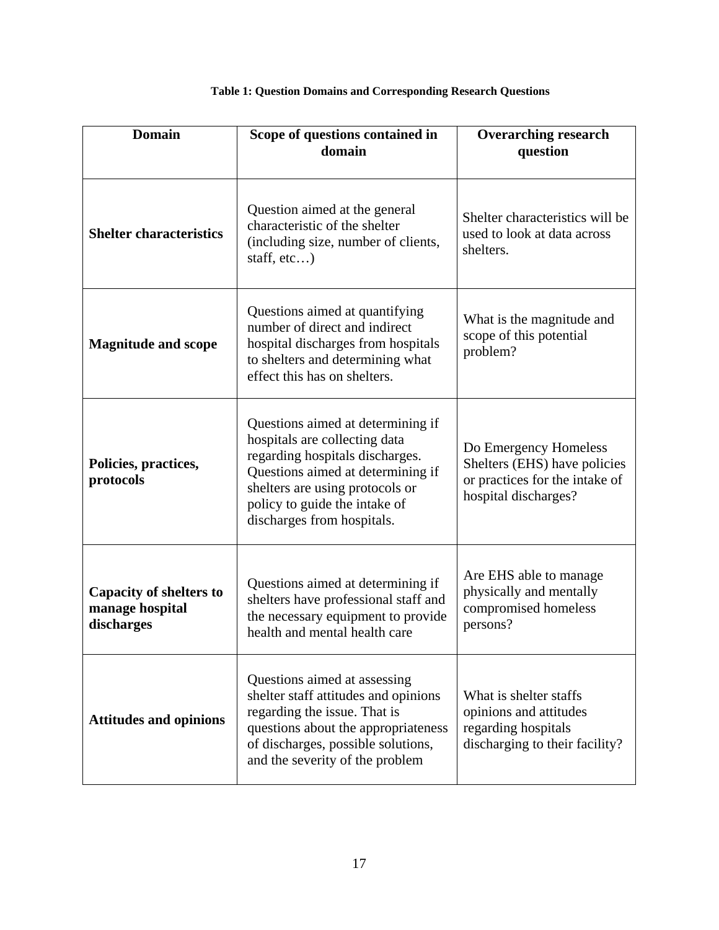<span id="page-26-0"></span>

| <b>Domain</b>                                                   | Scope of questions contained in<br>domain                                                                                                                                                                                                    | <b>Overarching research</b><br>question                                                                         |  |
|-----------------------------------------------------------------|----------------------------------------------------------------------------------------------------------------------------------------------------------------------------------------------------------------------------------------------|-----------------------------------------------------------------------------------------------------------------|--|
| <b>Shelter characteristics</b>                                  | Question aimed at the general<br>characteristic of the shelter<br>(including size, number of clients,<br>staff, $etc$ )                                                                                                                      | Shelter characteristics will be<br>used to look at data across<br>shelters.                                     |  |
| <b>Magnitude and scope</b>                                      | Questions aimed at quantifying<br>number of direct and indirect<br>hospital discharges from hospitals<br>to shelters and determining what<br>effect this has on shelters.                                                                    | What is the magnitude and<br>scope of this potential<br>problem?                                                |  |
| Policies, practices,<br>protocols                               | Questions aimed at determining if<br>hospitals are collecting data<br>regarding hospitals discharges.<br>Questions aimed at determining if<br>shelters are using protocols or<br>policy to guide the intake of<br>discharges from hospitals. | Do Emergency Homeless<br>Shelters (EHS) have policies<br>or practices for the intake of<br>hospital discharges? |  |
| <b>Capacity of shelters to</b><br>manage hospital<br>discharges | Questions aimed at determining if<br>shelters have professional staff and<br>the necessary equipment to provide<br>health and mental health care                                                                                             | Are EHS able to manage<br>physically and mentally<br>compromised homeless<br>persons?                           |  |
| <b>Attitudes and opinions</b>                                   | Questions aimed at assessing<br>shelter staff attitudes and opinions<br>regarding the issue. That is<br>questions about the appropriateness<br>of discharges, possible solutions,<br>and the severity of the problem                         | What is shelter staffs<br>opinions and attitudes<br>regarding hospitals<br>discharging to their facility?       |  |

# **Table 1: Question Domains and Corresponding Research Questions**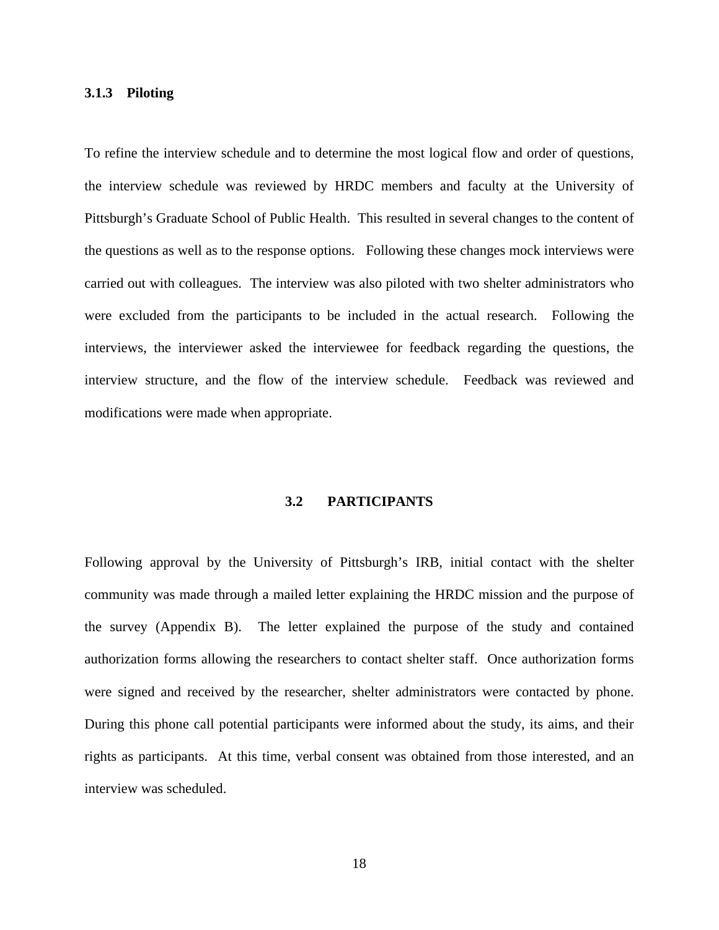### <span id="page-27-0"></span>**3.1.3 Piloting**

To refine the interview schedule and to determine the most logical flow and order of questions, the interview schedule was reviewed by HRDC members and faculty at the University of Pittsburgh's Graduate School of Public Health. This resulted in several changes to the content of the questions as well as to the response options. Following these changes mock interviews were carried out with colleagues. The interview was also piloted with two shelter administrators who were excluded from the participants to be included in the actual research. Following the interviews, the interviewer asked the interviewee for feedback regarding the questions, the interview structure, and the flow of the interview schedule. Feedback was reviewed and modifications were made when appropriate.

### **3.2 PARTICIPANTS**

Following approval by the University of Pittsburgh's IRB, initial contact with the shelter community was made through a mailed letter explaining the HRDC mission and the purpose of the survey (Appendix B). The letter explained the purpose of the study and contained authorization forms allowing the researchers to contact shelter staff. Once authorization forms were signed and received by the researcher, shelter administrators were contacted by phone. During this phone call potential participants were informed about the study, its aims, and their rights as participants. At this time, verbal consent was obtained from those interested, and an interview was scheduled.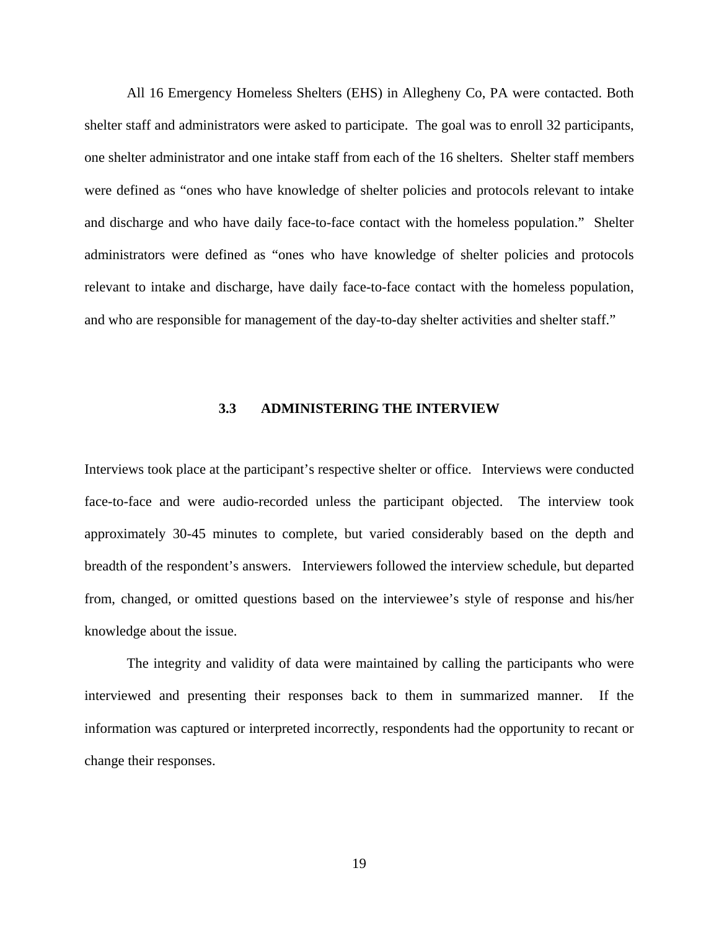<span id="page-28-0"></span> All 16 Emergency Homeless Shelters (EHS) in Allegheny Co, PA were contacted. Both shelter staff and administrators were asked to participate. The goal was to enroll 32 participants, one shelter administrator and one intake staff from each of the 16 shelters. Shelter staff members were defined as "ones who have knowledge of shelter policies and protocols relevant to intake and discharge and who have daily face-to-face contact with the homeless population." Shelter administrators were defined as "ones who have knowledge of shelter policies and protocols relevant to intake and discharge, have daily face-to-face contact with the homeless population, and who are responsible for management of the day-to-day shelter activities and shelter staff."

### **3.3 ADMINISTERING THE INTERVIEW**

Interviews took place at the participant's respective shelter or office. Interviews were conducted face-to-face and were audio-recorded unless the participant objected. The interview took approximately 30-45 minutes to complete, but varied considerably based on the depth and breadth of the respondent's answers. Interviewers followed the interview schedule, but departed from, changed, or omitted questions based on the interviewee's style of response and his/her knowledge about the issue.

 The integrity and validity of data were maintained by calling the participants who were interviewed and presenting their responses back to them in summarized manner. If the information was captured or interpreted incorrectly, respondents had the opportunity to recant or change their responses.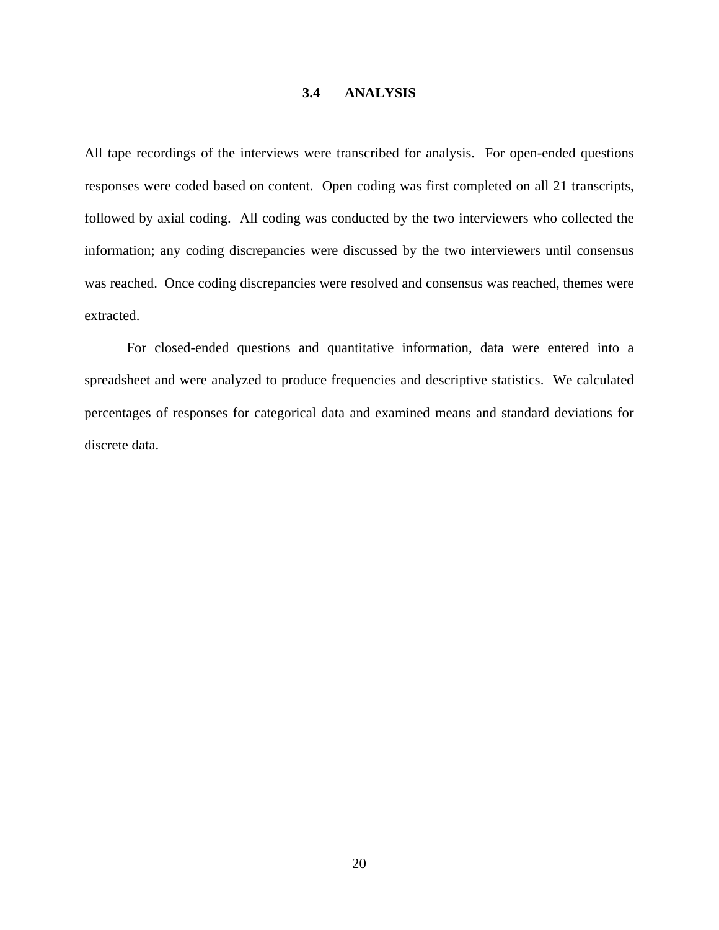### **3.4 ANALYSIS**

<span id="page-29-0"></span>All tape recordings of the interviews were transcribed for analysis. For open-ended questions responses were coded based on content. Open coding was first completed on all 21 transcripts, followed by axial coding. All coding was conducted by the two interviewers who collected the information; any coding discrepancies were discussed by the two interviewers until consensus was reached. Once coding discrepancies were resolved and consensus was reached, themes were extracted.

 For closed-ended questions and quantitative information, data were entered into a spreadsheet and were analyzed to produce frequencies and descriptive statistics. We calculated percentages of responses for categorical data and examined means and standard deviations for discrete data.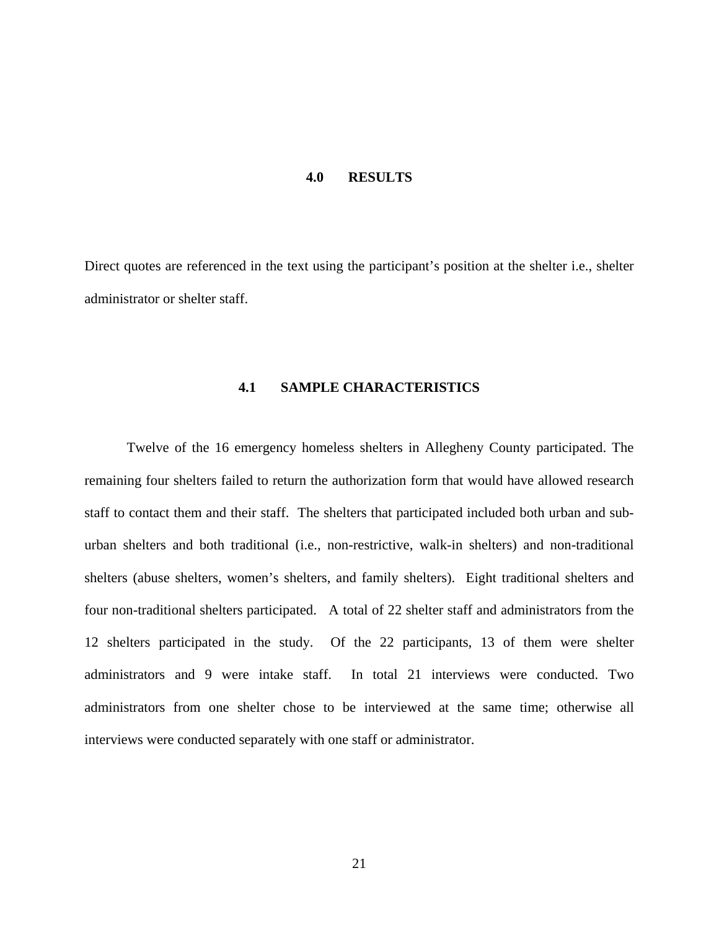#### **4.0 RESULTS**

<span id="page-30-0"></span>Direct quotes are referenced in the text using the participant's position at the shelter i.e., shelter administrator or shelter staff.

# **4.1 SAMPLE CHARACTERISTICS**

Twelve of the 16 emergency homeless shelters in Allegheny County participated. The remaining four shelters failed to return the authorization form that would have allowed research staff to contact them and their staff. The shelters that participated included both urban and suburban shelters and both traditional (i.e., non-restrictive, walk-in shelters) and non-traditional shelters (abuse shelters, women's shelters, and family shelters). Eight traditional shelters and four non-traditional shelters participated. A total of 22 shelter staff and administrators from the 12 shelters participated in the study. Of the 22 participants, 13 of them were shelter administrators and 9 were intake staff. In total 21 interviews were conducted. Two administrators from one shelter chose to be interviewed at the same time; otherwise all interviews were conducted separately with one staff or administrator.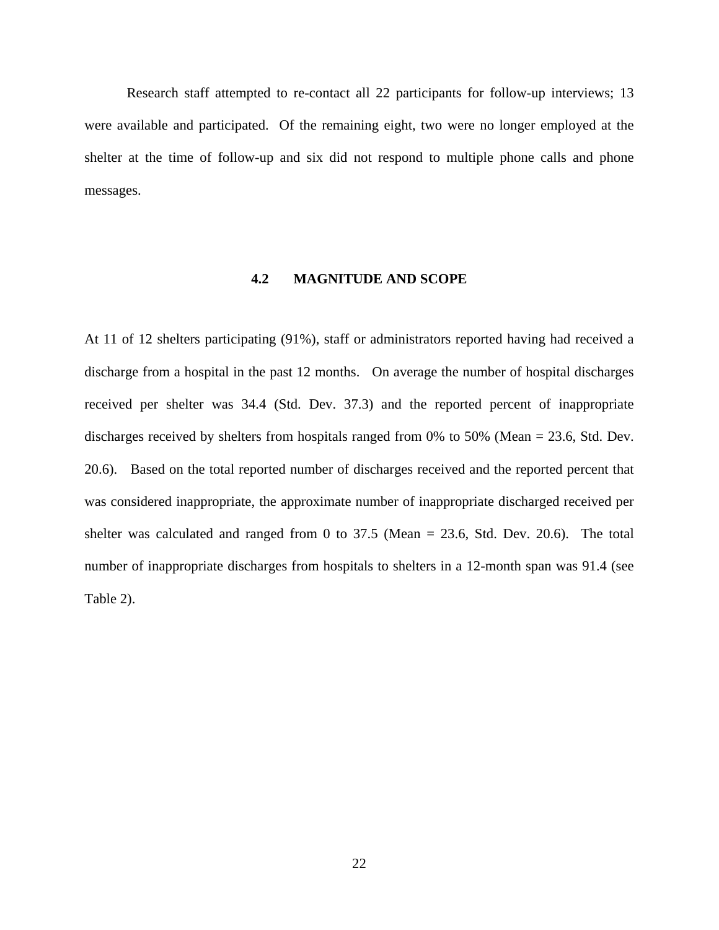<span id="page-31-0"></span> Research staff attempted to re-contact all 22 participants for follow-up interviews; 13 were available and participated. Of the remaining eight, two were no longer employed at the shelter at the time of follow-up and six did not respond to multiple phone calls and phone messages.

### **4.2 MAGNITUDE AND SCOPE**

At 11 of 12 shelters participating (91%), staff or administrators reported having had received a discharge from a hospital in the past 12 months. On average the number of hospital discharges received per shelter was 34.4 (Std. Dev. 37.3) and the reported percent of inappropriate discharges received by shelters from hospitals ranged from 0% to 50% (Mean = 23.6, Std. Dev. 20.6). Based on the total reported number of discharges received and the reported percent that was considered inappropriate, the approximate number of inappropriate discharged received per shelter was calculated and ranged from 0 to  $37.5$  (Mean =  $23.6$ , Std. Dev. 20.6). The total number of inappropriate discharges from hospitals to shelters in a 12-month span was 91.4 (see Table 2).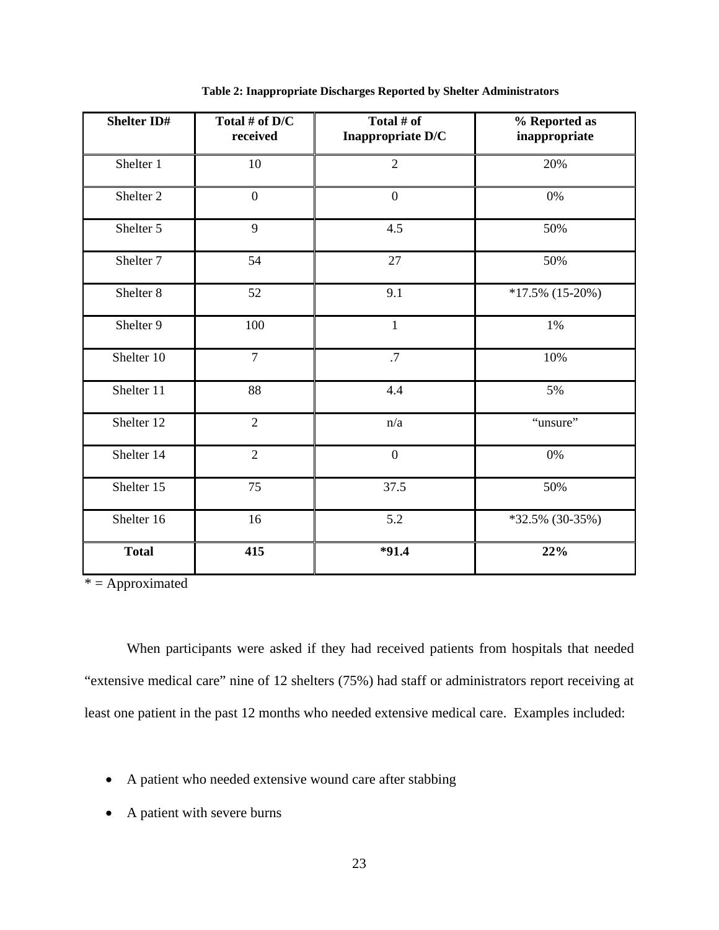<span id="page-32-0"></span>

| <b>Shelter ID#</b>   | Total # of D/C<br>received | Total # of<br>Inappropriate D/C | % Reported as<br>inappropriate |
|----------------------|----------------------------|---------------------------------|--------------------------------|
| Shelter 1            | 10                         | $\overline{2}$                  | 20%                            |
| Shelter <sub>2</sub> | $\boldsymbol{0}$           | $\boldsymbol{0}$                | 0%                             |
| Shelter 5            | 9                          | 4.5                             | 50%                            |
| Shelter <sub>7</sub> | 54                         | 27                              | 50%                            |
| Shelter 8            | 52                         | 9.1                             | $*17.5\%$ (15-20%)             |
| Shelter 9            | 100                        | $\mathbf{1}$                    | 1%                             |
| Shelter 10           | $\overline{7}$             | .7                              | 10%                            |
| Shelter 11           | 88                         | 4.4                             | 5%                             |
| Shelter 12           | $\overline{2}$             | n/a                             | "unsure"                       |
| Shelter 14           | $\overline{2}$             | $\overline{0}$                  | 0%                             |
| Shelter 15           | 75                         | 37.5                            | 50%                            |
| Shelter 16           | 16                         | 5.2                             | *32.5% (30-35%)                |
| <b>Total</b>         | 415                        | $*91.4$                         | 22%                            |

**Table 2: Inappropriate Discharges Reported by Shelter Administrators** 

 $* =$  Approximated

 When participants were asked if they had received patients from hospitals that needed "extensive medical care" nine of 12 shelters (75%) had staff or administrators report receiving at least one patient in the past 12 months who needed extensive medical care. Examples included:

- A patient who needed extensive wound care after stabbing
- A patient with severe burns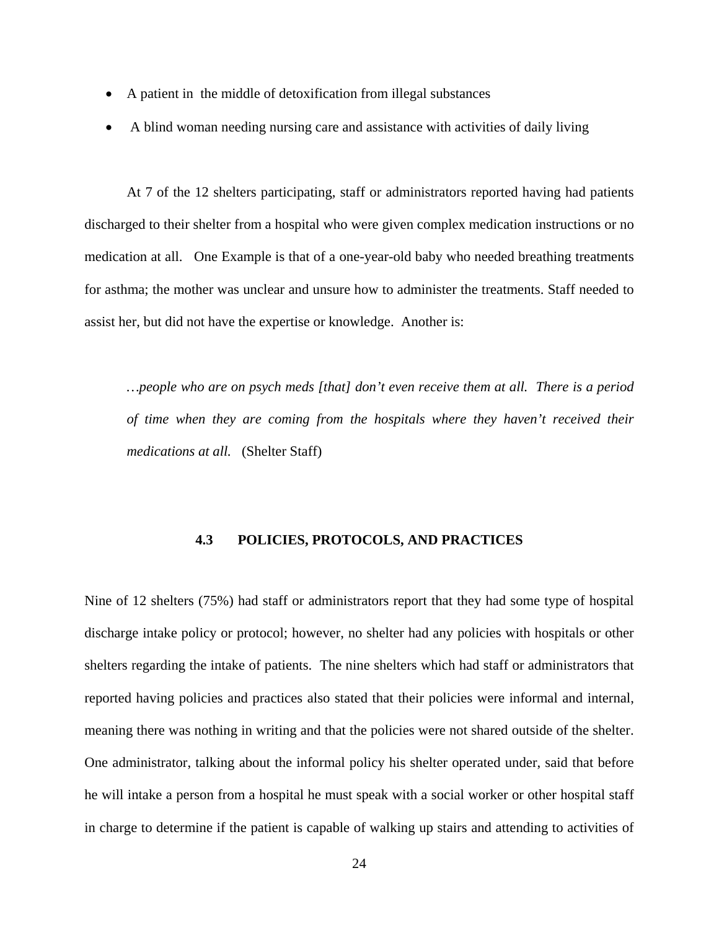- <span id="page-33-0"></span>• A patient in the middle of detoxification from illegal substances
- A blind woman needing nursing care and assistance with activities of daily living

 At 7 of the 12 shelters participating, staff or administrators reported having had patients discharged to their shelter from a hospital who were given complex medication instructions or no medication at all. One Example is that of a one-year-old baby who needed breathing treatments for asthma; the mother was unclear and unsure how to administer the treatments. Staff needed to assist her, but did not have the expertise or knowledge. Another is:

*…people who are on psych meds [that] don't even receive them at all. There is a period of time when they are coming from the hospitals where they haven't received their medications at all.* (Shelter Staff)

### **4.3 POLICIES, PROTOCOLS, AND PRACTICES**

Nine of 12 shelters (75%) had staff or administrators report that they had some type of hospital discharge intake policy or protocol; however, no shelter had any policies with hospitals or other shelters regarding the intake of patients. The nine shelters which had staff or administrators that reported having policies and practices also stated that their policies were informal and internal, meaning there was nothing in writing and that the policies were not shared outside of the shelter. One administrator, talking about the informal policy his shelter operated under, said that before he will intake a person from a hospital he must speak with a social worker or other hospital staff in charge to determine if the patient is capable of walking up stairs and attending to activities of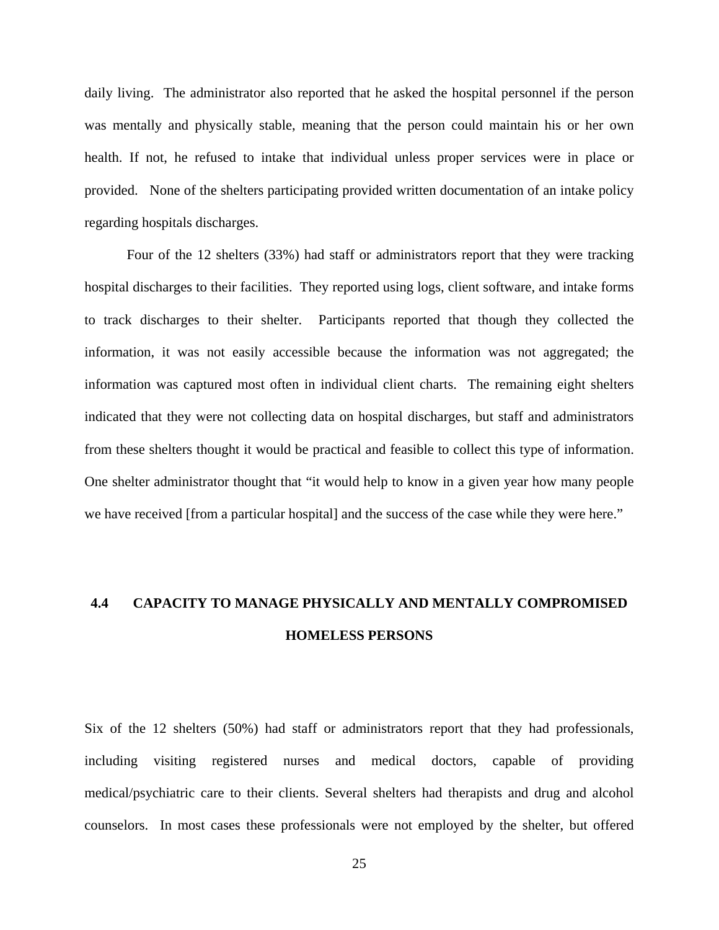<span id="page-34-0"></span>daily living. The administrator also reported that he asked the hospital personnel if the person was mentally and physically stable, meaning that the person could maintain his or her own health. If not, he refused to intake that individual unless proper services were in place or provided. None of the shelters participating provided written documentation of an intake policy regarding hospitals discharges.

 Four of the 12 shelters (33%) had staff or administrators report that they were tracking hospital discharges to their facilities. They reported using logs, client software, and intake forms to track discharges to their shelter. Participants reported that though they collected the information, it was not easily accessible because the information was not aggregated; the information was captured most often in individual client charts. The remaining eight shelters indicated that they were not collecting data on hospital discharges, but staff and administrators from these shelters thought it would be practical and feasible to collect this type of information. One shelter administrator thought that "it would help to know in a given year how many people we have received [from a particular hospital] and the success of the case while they were here."

# **4.4 CAPACITY TO MANAGE PHYSICALLY AND MENTALLY COMPROMISED HOMELESS PERSONS**

Six of the 12 shelters (50%) had staff or administrators report that they had professionals, including visiting registered nurses and medical doctors, capable of providing medical/psychiatric care to their clients. Several shelters had therapists and drug and alcohol counselors. In most cases these professionals were not employed by the shelter, but offered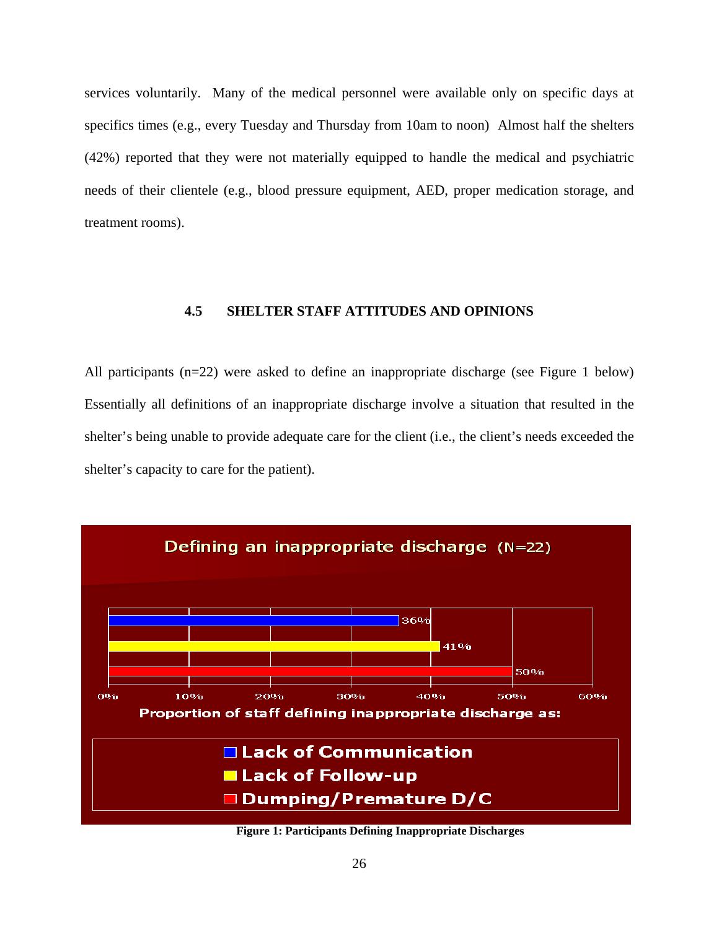<span id="page-35-0"></span>services voluntarily. Many of the medical personnel were available only on specific days at specifics times (e.g., every Tuesday and Thursday from 10am to noon) Almost half the shelters (42%) reported that they were not materially equipped to handle the medical and psychiatric needs of their clientele (e.g., blood pressure equipment, AED, proper medication storage, and treatment rooms).

# **4.5 SHELTER STAFF ATTITUDES AND OPINIONS**

All participants (n=22) were asked to define an inappropriate discharge (see Figure 1 below) Essentially all definitions of an inappropriate discharge involve a situation that resulted in the shelter's being unable to provide adequate care for the client (i.e., the client's needs exceeded the shelter's capacity to care for the patient).



**Figure 1: Participants Defining Inappropriate Discharges**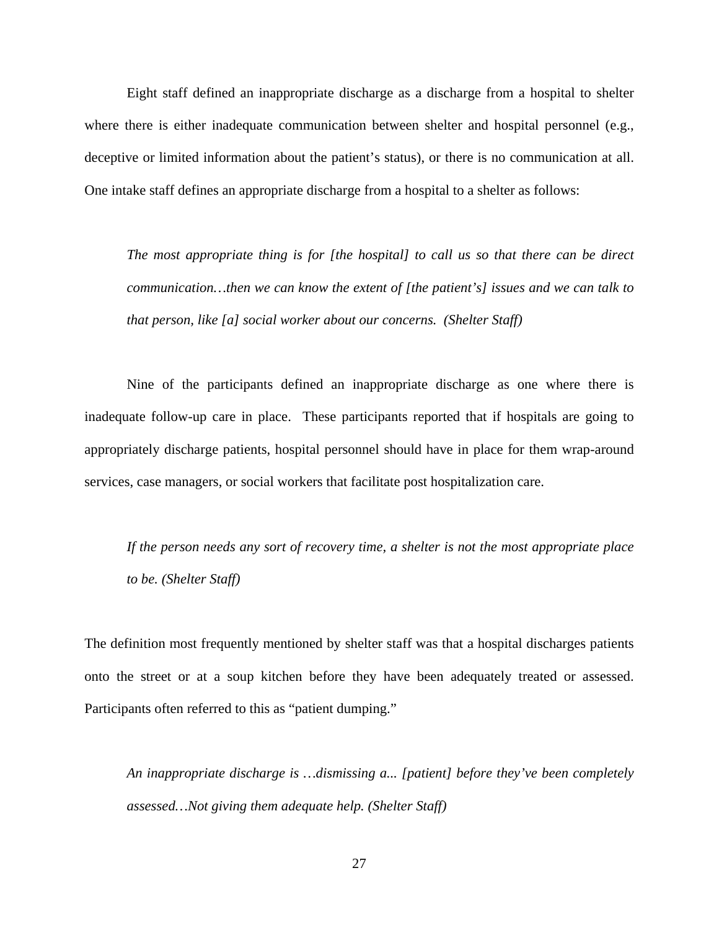Eight staff defined an inappropriate discharge as a discharge from a hospital to shelter where there is either inadequate communication between shelter and hospital personnel (e.g., deceptive or limited information about the patient's status), or there is no communication at all. One intake staff defines an appropriate discharge from a hospital to a shelter as follows:

*The most appropriate thing is for [the hospital] to call us so that there can be direct communication…then we can know the extent of [the patient's] issues and we can talk to that person, like [a] social worker about our concerns. (Shelter Staff)* 

 Nine of the participants defined an inappropriate discharge as one where there is inadequate follow-up care in place. These participants reported that if hospitals are going to appropriately discharge patients, hospital personnel should have in place for them wrap-around services, case managers, or social workers that facilitate post hospitalization care.

*If the person needs any sort of recovery time, a shelter is not the most appropriate place to be. (Shelter Staff)* 

The definition most frequently mentioned by shelter staff was that a hospital discharges patients onto the street or at a soup kitchen before they have been adequately treated or assessed. Participants often referred to this as "patient dumping."

*An inappropriate discharge is …dismissing a... [patient] before they've been completely assessed…Not giving them adequate help. (Shelter Staff)*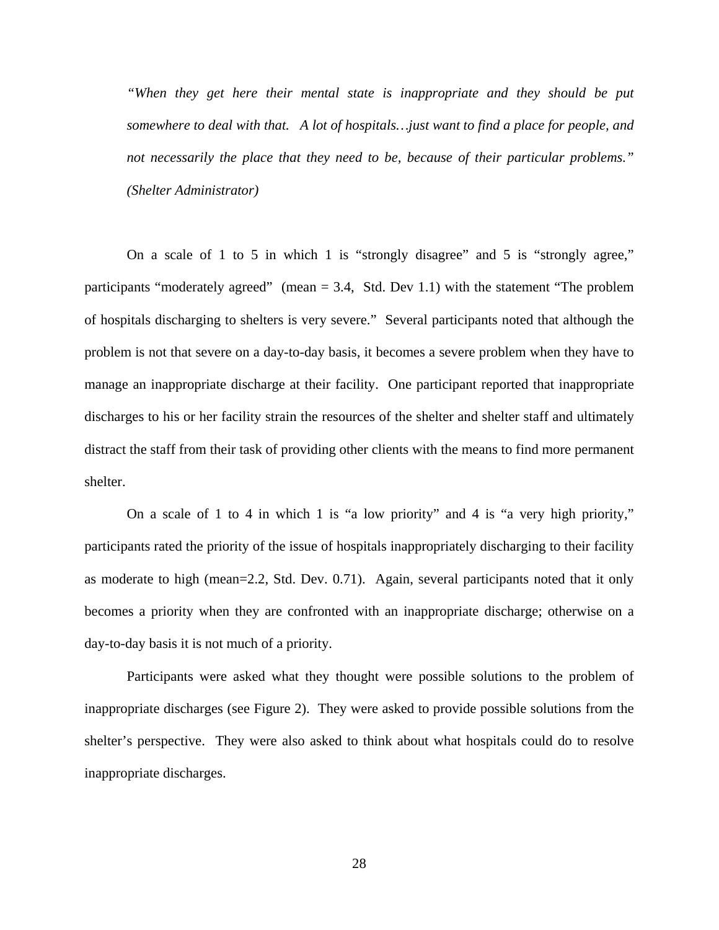*"When they get here their mental state is inappropriate and they should be put somewhere to deal with that. A lot of hospitals…just want to find a place for people, and not necessarily the place that they need to be, because of their particular problems." (Shelter Administrator)* 

 On a scale of 1 to 5 in which 1 is "strongly disagree" and 5 is "strongly agree," participants "moderately agreed" (mean  $= 3.4$ , Std. Dev 1.1) with the statement "The problem of hospitals discharging to shelters is very severe." Several participants noted that although the problem is not that severe on a day-to-day basis, it becomes a severe problem when they have to manage an inappropriate discharge at their facility. One participant reported that inappropriate discharges to his or her facility strain the resources of the shelter and shelter staff and ultimately distract the staff from their task of providing other clients with the means to find more permanent shelter.

 On a scale of 1 to 4 in which 1 is "a low priority" and 4 is "a very high priority," participants rated the priority of the issue of hospitals inappropriately discharging to their facility as moderate to high (mean=2.2, Std. Dev. 0.71). Again, several participants noted that it only becomes a priority when they are confronted with an inappropriate discharge; otherwise on a day-to-day basis it is not much of a priority.

 Participants were asked what they thought were possible solutions to the problem of inappropriate discharges (see Figure 2). They were asked to provide possible solutions from the shelter's perspective. They were also asked to think about what hospitals could do to resolve inappropriate discharges.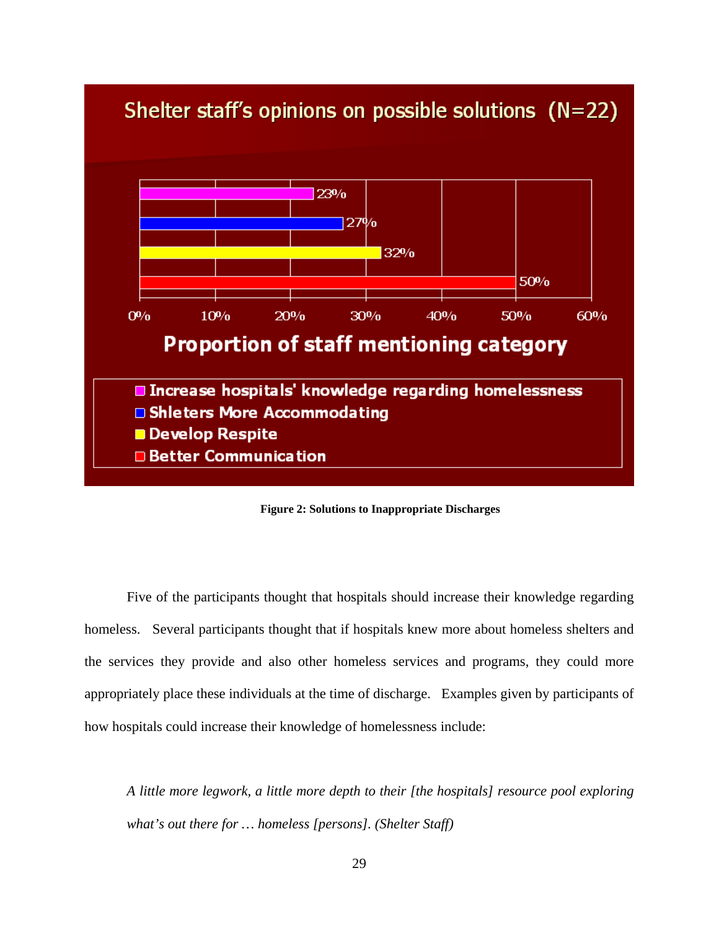

**Figure 2: Solutions to Inappropriate Discharges** 

 Five of the participants thought that hospitals should increase their knowledge regarding homeless. Several participants thought that if hospitals knew more about homeless shelters and the services they provide and also other homeless services and programs, they could more appropriately place these individuals at the time of discharge. Examples given by participants of how hospitals could increase their knowledge of homelessness include:

*A little more legwork, a little more depth to their [the hospitals] resource pool exploring what's out there for … homeless [persons]. (Shelter Staff)*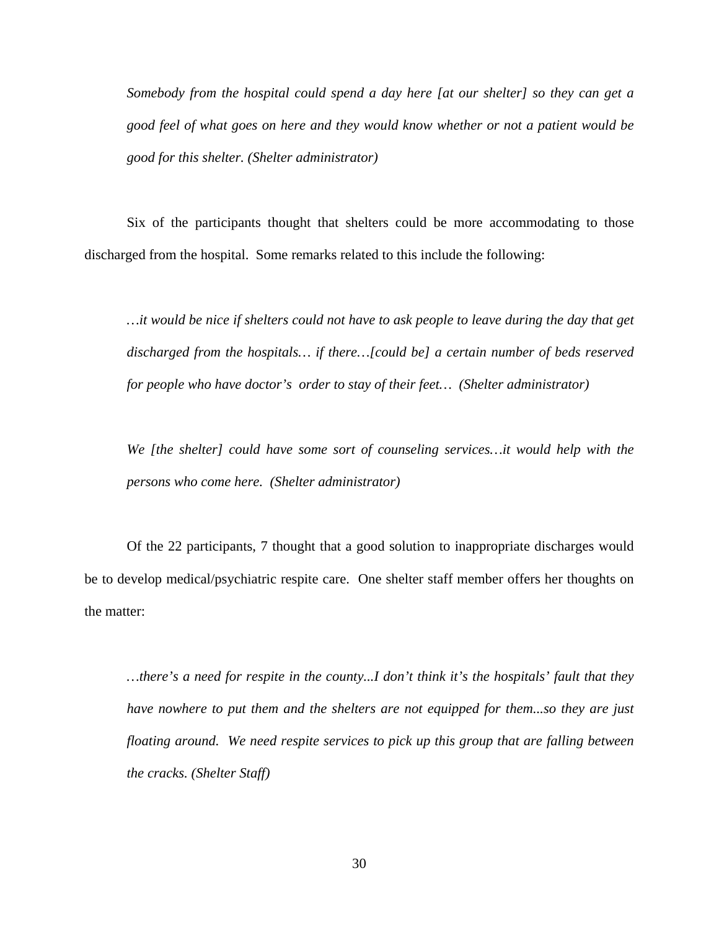*Somebody from the hospital could spend a day here [at our shelter] so they can get a good feel of what goes on here and they would know whether or not a patient would be good for this shelter. (Shelter administrator)* 

 Six of the participants thought that shelters could be more accommodating to those discharged from the hospital. Some remarks related to this include the following:

*…it would be nice if shelters could not have to ask people to leave during the day that get discharged from the hospitals… if there…[could be] a certain number of beds reserved for people who have doctor's order to stay of their feet… (Shelter administrator)* 

*We [the shelter] could have some sort of counseling services…it would help with the persons who come here. (Shelter administrator)* 

 Of the 22 participants, 7 thought that a good solution to inappropriate discharges would be to develop medical/psychiatric respite care. One shelter staff member offers her thoughts on the matter:

*…there's a need for respite in the county...I don't think it's the hospitals' fault that they have nowhere to put them and the shelters are not equipped for them...so they are just floating around. We need respite services to pick up this group that are falling between the cracks. (Shelter Staff)*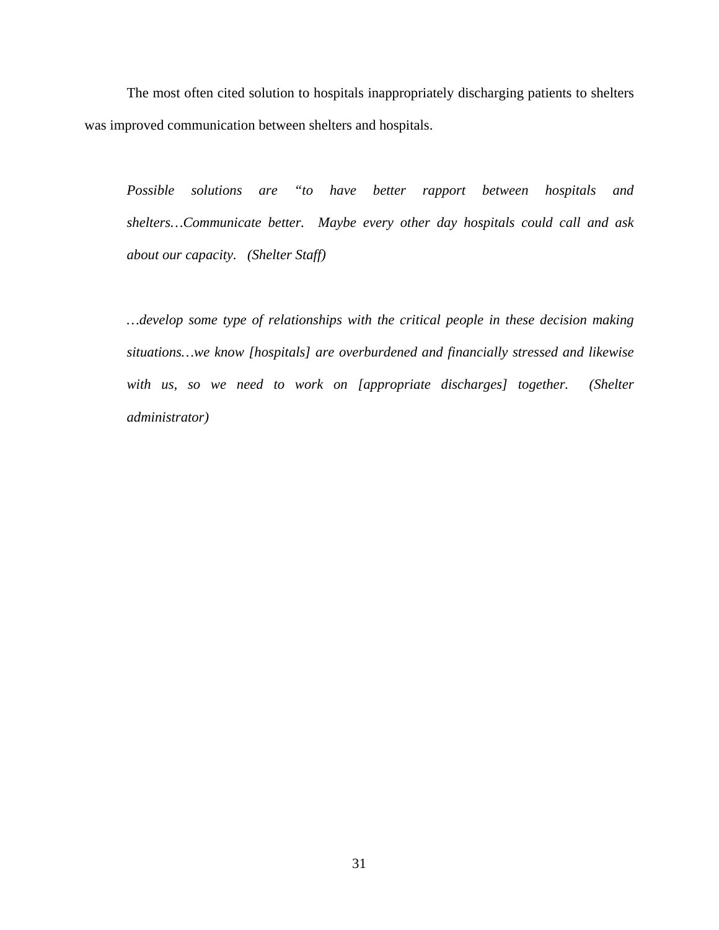The most often cited solution to hospitals inappropriately discharging patients to shelters was improved communication between shelters and hospitals.

*Possible solutions are "to have better rapport between hospitals and shelters…Communicate better. Maybe every other day hospitals could call and ask about our capacity. (Shelter Staff)* 

*…develop some type of relationships with the critical people in these decision making situations…we know [hospitals] are overburdened and financially stressed and likewise*  with us, so we need to work on [appropriate discharges] together. (Shelter *administrator)*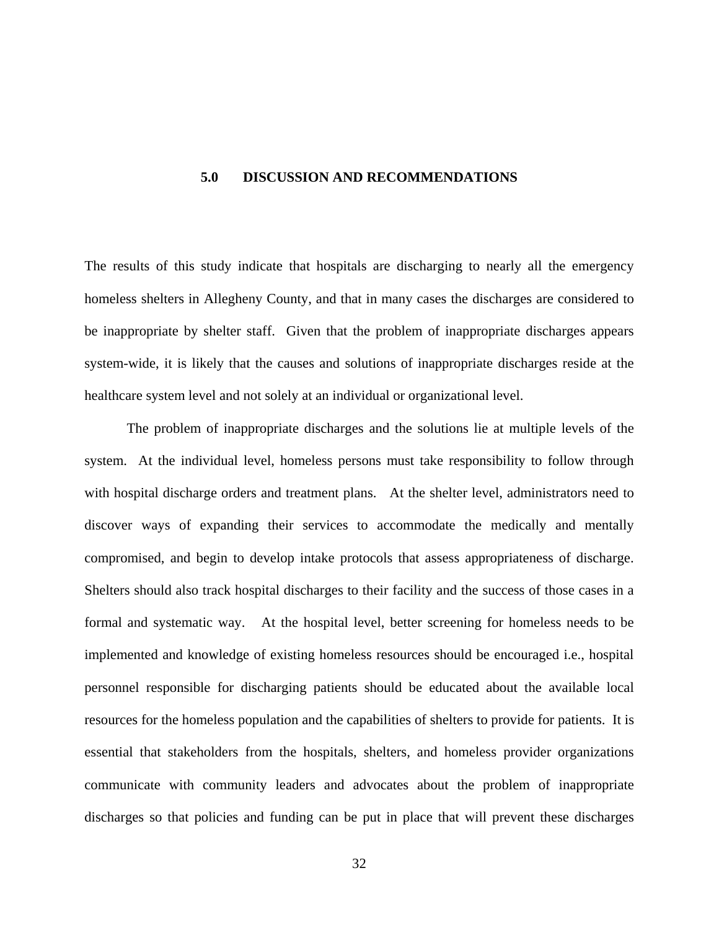### <span id="page-41-0"></span>**5.0 DISCUSSION AND RECOMMENDATIONS**

The results of this study indicate that hospitals are discharging to nearly all the emergency homeless shelters in Allegheny County, and that in many cases the discharges are considered to be inappropriate by shelter staff.Given that the problem of inappropriate discharges appears system-wide, it is likely that the causes and solutions of inappropriate discharges reside at the healthcare system level and not solely at an individual or organizational level.

 The problem of inappropriate discharges and the solutions lie at multiple levels of the system. At the individual level, homeless persons must take responsibility to follow through with hospital discharge orders and treatment plans. At the shelter level, administrators need to discover ways of expanding their services to accommodate the medically and mentally compromised, and begin to develop intake protocols that assess appropriateness of discharge. Shelters should also track hospital discharges to their facility and the success of those cases in a formal and systematic way. At the hospital level, better screening for homeless needs to be implemented and knowledge of existing homeless resources should be encouraged i.e., hospital personnel responsible for discharging patients should be educated about the available local resources for the homeless population and the capabilities of shelters to provide for patients. It is essential that stakeholders from the hospitals, shelters, and homeless provider organizations communicate with community leaders and advocates about the problem of inappropriate discharges so that policies and funding can be put in place that will prevent these discharges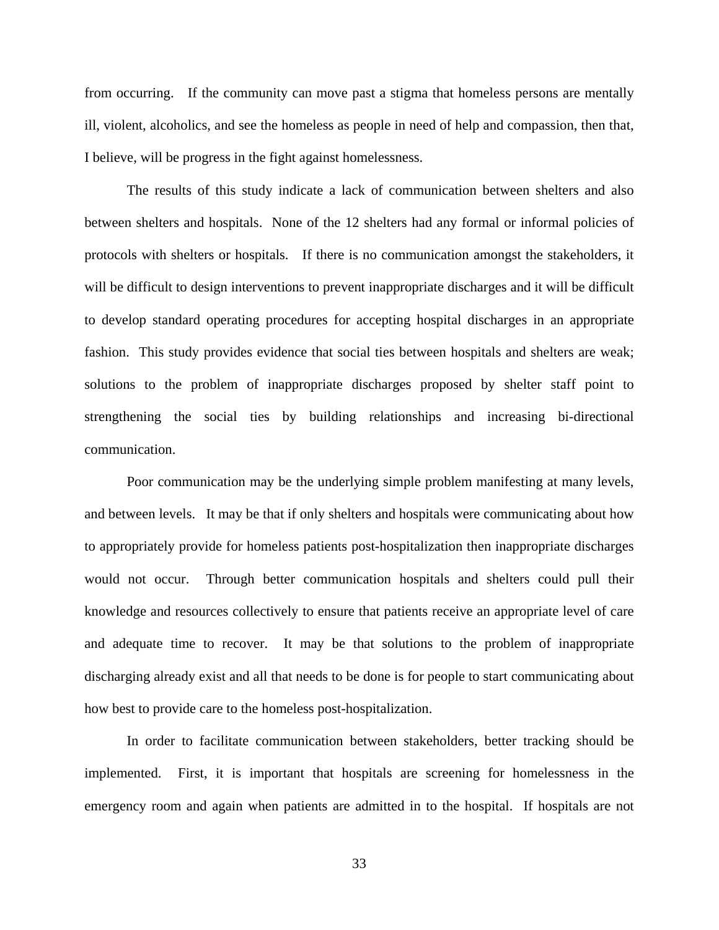from occurring. If the community can move past a stigma that homeless persons are mentally ill, violent, alcoholics, and see the homeless as people in need of help and compassion, then that, I believe, will be progress in the fight against homelessness.

 The results of this study indicate a lack of communication between shelters and also between shelters and hospitals. None of the 12 shelters had any formal or informal policies of protocols with shelters or hospitals. If there is no communication amongst the stakeholders, it will be difficult to design interventions to prevent inappropriate discharges and it will be difficult to develop standard operating procedures for accepting hospital discharges in an appropriate fashion. This study provides evidence that social ties between hospitals and shelters are weak; solutions to the problem of inappropriate discharges proposed by shelter staff point to strengthening the social ties by building relationships and increasing bi-directional communication.

 Poor communication may be the underlying simple problem manifesting at many levels, and between levels.It may be that if only shelters and hospitals were communicating about how to appropriately provide for homeless patients post-hospitalization then inappropriate discharges would not occur. Through better communication hospitals and shelters could pull their knowledge and resources collectively to ensure that patients receive an appropriate level of care and adequate time to recover. It may be that solutions to the problem of inappropriate discharging already exist and all that needs to be done is for people to start communicating about how best to provide care to the homeless post-hospitalization.

In order to facilitate communication between stakeholders, better tracking should be implemented. First, it is important that hospitals are screening for homelessness in the emergency room and again when patients are admitted in to the hospital. If hospitals are not

33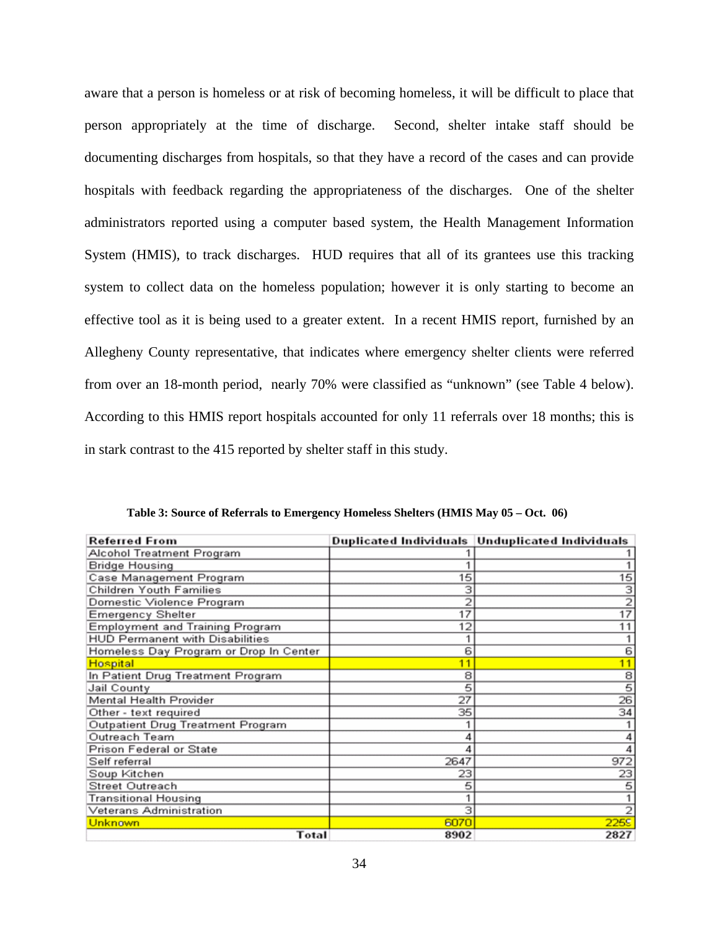<span id="page-43-0"></span>aware that a person is homeless or at risk of becoming homeless, it will be difficult to place that person appropriately at the time of discharge. Second, shelter intake staff should be documenting discharges from hospitals, so that they have a record of the cases and can provide hospitals with feedback regarding the appropriateness of the discharges. One of the shelter administrators reported using a computer based system, the Health Management Information System (HMIS), to track discharges. HUD requires that all of its grantees use this tracking system to collect data on the homeless population; however it is only starting to become an effective tool as it is being used to a greater extent. In a recent HMIS report, furnished by an Allegheny County representative, that indicates where emergency shelter clients were referred from over an 18-month period, nearly 70% were classified as "unknown" (see Table 4 below). According to this HMIS report hospitals accounted for only 11 referrals over 18 months; this is in stark contrast to the 415 reported by shelter staff in this study.

| <b>Referred From</b>                   |      | Duplicated Individuals   Unduplicated Individuals |  |
|----------------------------------------|------|---------------------------------------------------|--|
| Alcohol Treatment Program              |      |                                                   |  |
| <b>Bridge Housing</b>                  |      | 1                                                 |  |
| Case Management Program                | 15   | 15                                                |  |
| Children Youth Families                | з    | з                                                 |  |
| Domestic Violence Program              | 2    | $\overline{2}$                                    |  |
| <b>Emergency Shelter</b>               | 17   | $\overline{17}$                                   |  |
| <b>Employment and Training Program</b> | 12   | 11                                                |  |
| <b>HUD Permanent with Disabilities</b> |      |                                                   |  |
| Homeless Day Program or Drop In Center | 6    | 6                                                 |  |
| <b>Hospital</b>                        | 11   | 11                                                |  |
| In Patient Drug Treatment Program      | 8    | 8                                                 |  |
| Jail County                            | 5    | 5                                                 |  |
| Mental Health Provider                 | 27   | 26                                                |  |
| Other - text required                  | 35   | 34                                                |  |
| Outpatient Drug Treatment Program      |      |                                                   |  |
| Outreach Team                          |      |                                                   |  |
| Prison Federal or State                |      |                                                   |  |
| Self referral                          | 2647 | 972                                               |  |
| Soup Kitchen                           | 23   | 23                                                |  |
| Street Outreach                        | 5    | 5                                                 |  |
| <b>Transitional Housing</b>            |      |                                                   |  |
| <b>Veterans Administration</b>         | з    | 2                                                 |  |
| Unknown                                | 6070 | 2259                                              |  |
| Total                                  | 8902 | 2827                                              |  |

**Table 3: Source of Referrals to Emergency Homeless Shelters (HMIS May 05 – Oct. 06)**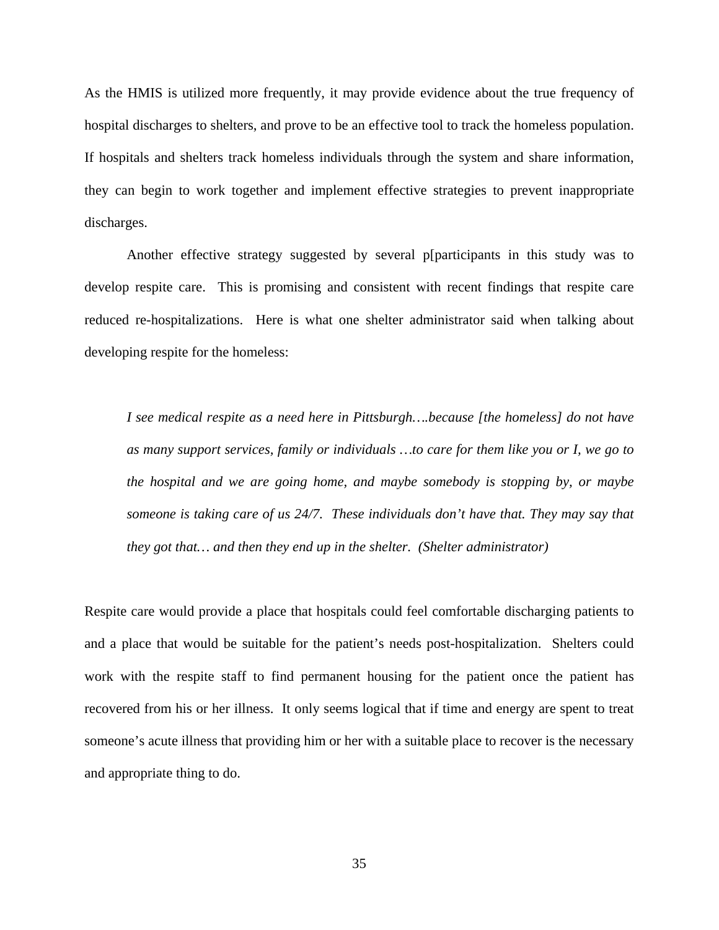As the HMIS is utilized more frequently, it may provide evidence about the true frequency of hospital discharges to shelters, and prove to be an effective tool to track the homeless population. If hospitals and shelters track homeless individuals through the system and share information, they can begin to work together and implement effective strategies to prevent inappropriate discharges.

 Another effective strategy suggested by several p[participants in this study was to develop respite care. This is promising and consistent with recent findings that respite care reduced re-hospitalizations. Here is what one shelter administrator said when talking about developing respite for the homeless:

*I see medical respite as a need here in Pittsburgh….because [the homeless] do not have as many support services, family or individuals …to care for them like you or I, we go to the hospital and we are going home, and maybe somebody is stopping by, or maybe someone is taking care of us 24/7. These individuals don't have that. They may say that they got that… and then they end up in the shelter. (Shelter administrator)* 

Respite care would provide a place that hospitals could feel comfortable discharging patients to and a place that would be suitable for the patient's needs post-hospitalization. Shelters could work with the respite staff to find permanent housing for the patient once the patient has recovered from his or her illness. It only seems logical that if time and energy are spent to treat someone's acute illness that providing him or her with a suitable place to recover is the necessary and appropriate thing to do.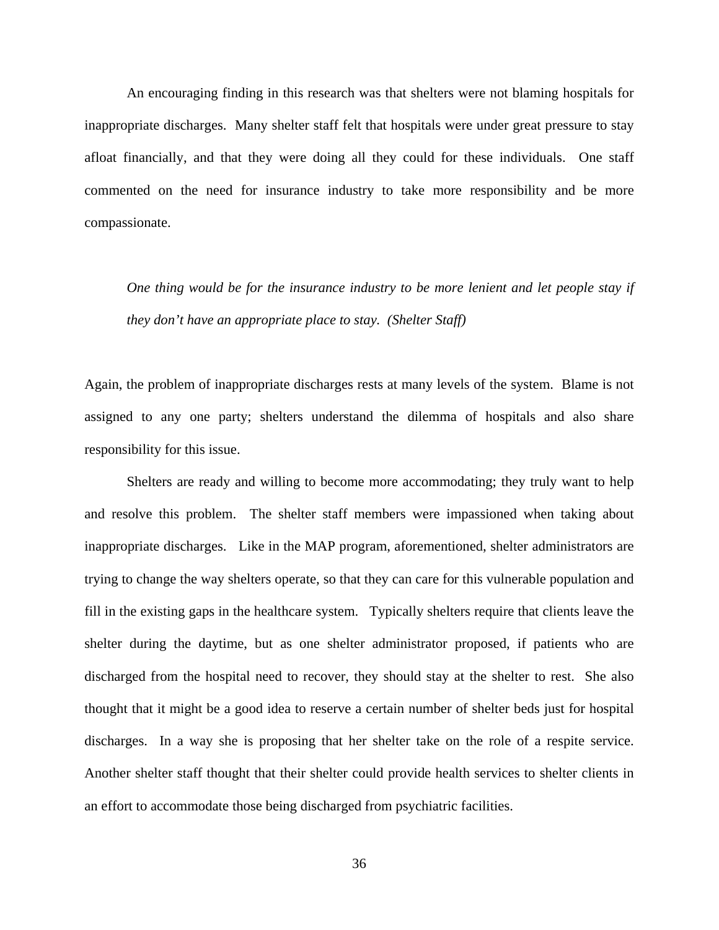An encouraging finding in this research was that shelters were not blaming hospitals for inappropriate discharges. Many shelter staff felt that hospitals were under great pressure to stay afloat financially, and that they were doing all they could for these individuals. One staff commented on the need for insurance industry to take more responsibility and be more compassionate.

*One thing would be for the insurance industry to be more lenient and let people stay if they don't have an appropriate place to stay. (Shelter Staff)* 

Again, the problem of inappropriate discharges rests at many levels of the system. Blame is not assigned to any one party; shelters understand the dilemma of hospitals and also share responsibility for this issue.

 Shelters are ready and willing to become more accommodating; they truly want to help and resolve this problem. The shelter staff members were impassioned when taking about inappropriate discharges. Like in the MAP program, aforementioned, shelter administrators are trying to change the way shelters operate, so that they can care for this vulnerable population and fill in the existing gaps in the healthcare system. Typically shelters require that clients leave the shelter during the daytime, but as one shelter administrator proposed, if patients who are discharged from the hospital need to recover, they should stay at the shelter to rest. She also thought that it might be a good idea to reserve a certain number of shelter beds just for hospital discharges. In a way she is proposing that her shelter take on the role of a respite service. Another shelter staff thought that their shelter could provide health services to shelter clients in an effort to accommodate those being discharged from psychiatric facilities.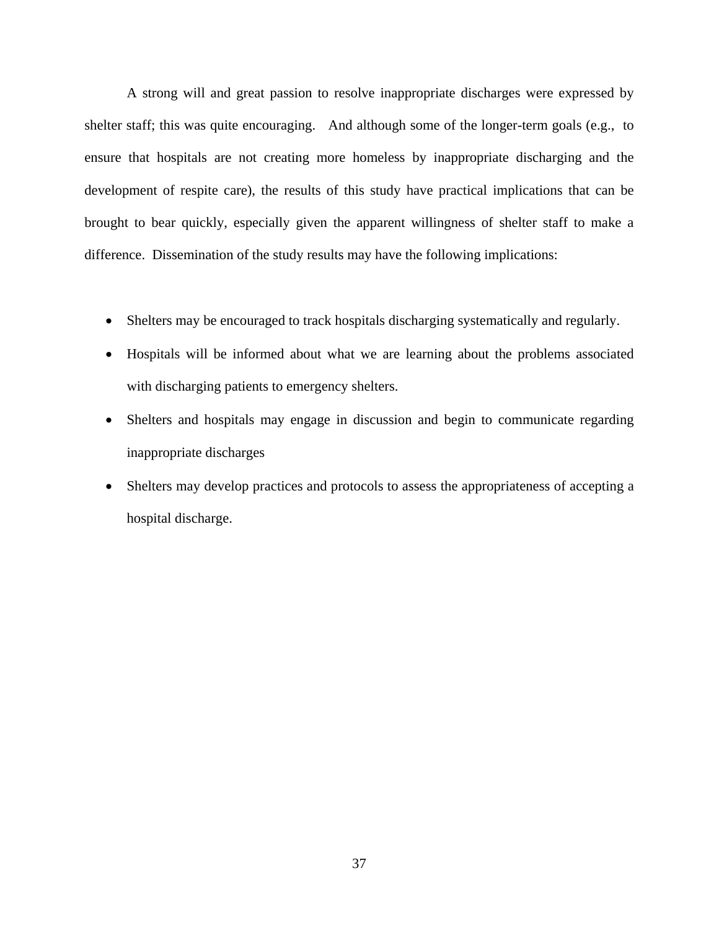A strong will and great passion to resolve inappropriate discharges were expressed by shelter staff; this was quite encouraging. And although some of the longer-term goals (e.g., to ensure that hospitals are not creating more homeless by inappropriate discharging and the development of respite care), the results of this study have practical implications that can be brought to bear quickly, especially given the apparent willingness of shelter staff to make a difference. Dissemination of the study results may have the following implications:

- Shelters may be encouraged to track hospitals discharging systematically and regularly.
- Hospitals will be informed about what we are learning about the problems associated with discharging patients to emergency shelters.
- Shelters and hospitals may engage in discussion and begin to communicate regarding inappropriate discharges
- Shelters may develop practices and protocols to assess the appropriateness of accepting a hospital discharge.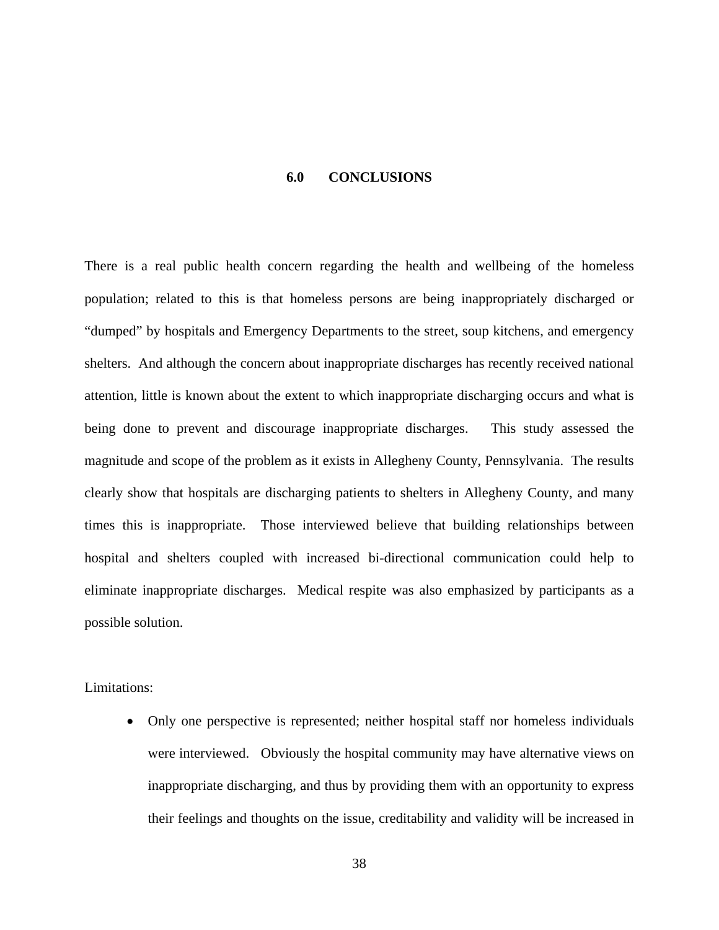### **6.0 CONCLUSIONS**

<span id="page-47-0"></span>There is a real public health concern regarding the health and wellbeing of the homeless population; related to this is that homeless persons are being inappropriately discharged or "dumped" by hospitals and Emergency Departments to the street, soup kitchens, and emergency shelters. And although the concern about inappropriate discharges has recently received national attention, little is known about the extent to which inappropriate discharging occurs and what is being done to prevent and discourage inappropriate discharges. This study assessed the magnitude and scope of the problem as it exists in Allegheny County, Pennsylvania. The results clearly show that hospitals are discharging patients to shelters in Allegheny County, and many times this is inappropriate. Those interviewed believe that building relationships between hospital and shelters coupled with increased bi-directional communication could help to eliminate inappropriate discharges. Medical respite was also emphasized by participants as a possible solution.

Limitations:

• Only one perspective is represented; neither hospital staff nor homeless individuals were interviewed. Obviously the hospital community may have alternative views on inappropriate discharging, and thus by providing them with an opportunity to express their feelings and thoughts on the issue, creditability and validity will be increased in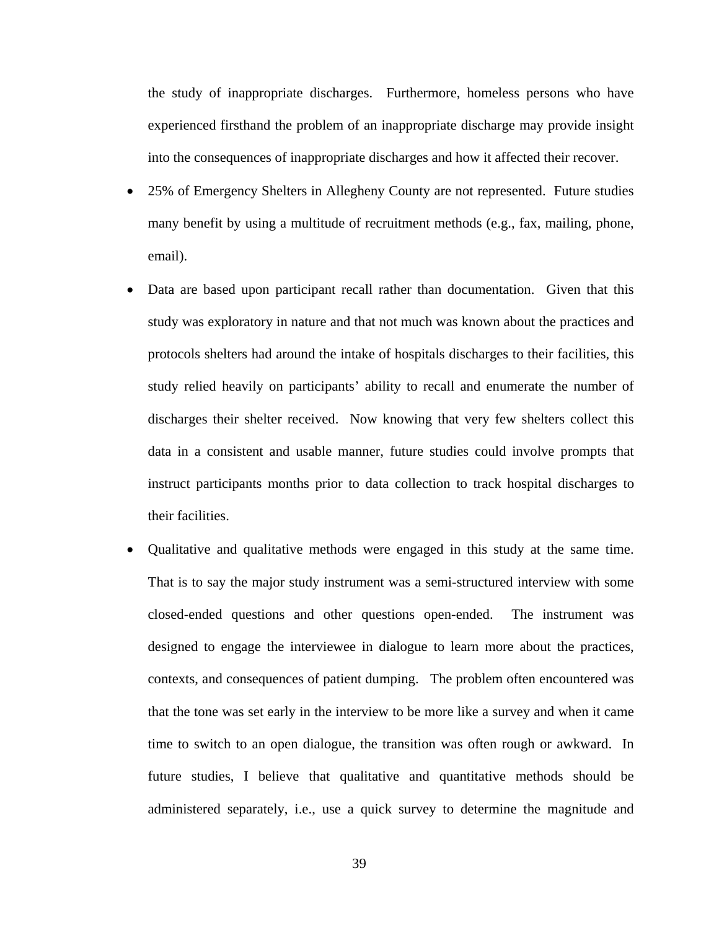the study of inappropriate discharges. Furthermore, homeless persons who have experienced firsthand the problem of an inappropriate discharge may provide insight into the consequences of inappropriate discharges and how it affected their recover.

- 25% of Emergency Shelters in Allegheny County are not represented. Future studies many benefit by using a multitude of recruitment methods (e.g., fax, mailing, phone, email).
- Data are based upon participant recall rather than documentation. Given that this study was exploratory in nature and that not much was known about the practices and protocols shelters had around the intake of hospitals discharges to their facilities, this study relied heavily on participants' ability to recall and enumerate the number of discharges their shelter received. Now knowing that very few shelters collect this data in a consistent and usable manner, future studies could involve prompts that instruct participants months prior to data collection to track hospital discharges to their facilities.
- Qualitative and qualitative methods were engaged in this study at the same time. That is to say the major study instrument was a semi-structured interview with some closed-ended questions and other questions open-ended. The instrument was designed to engage the interviewee in dialogue to learn more about the practices, contexts, and consequences of patient dumping. The problem often encountered was that the tone was set early in the interview to be more like a survey and when it came time to switch to an open dialogue, the transition was often rough or awkward. In future studies, I believe that qualitative and quantitative methods should be administered separately, i.e., use a quick survey to determine the magnitude and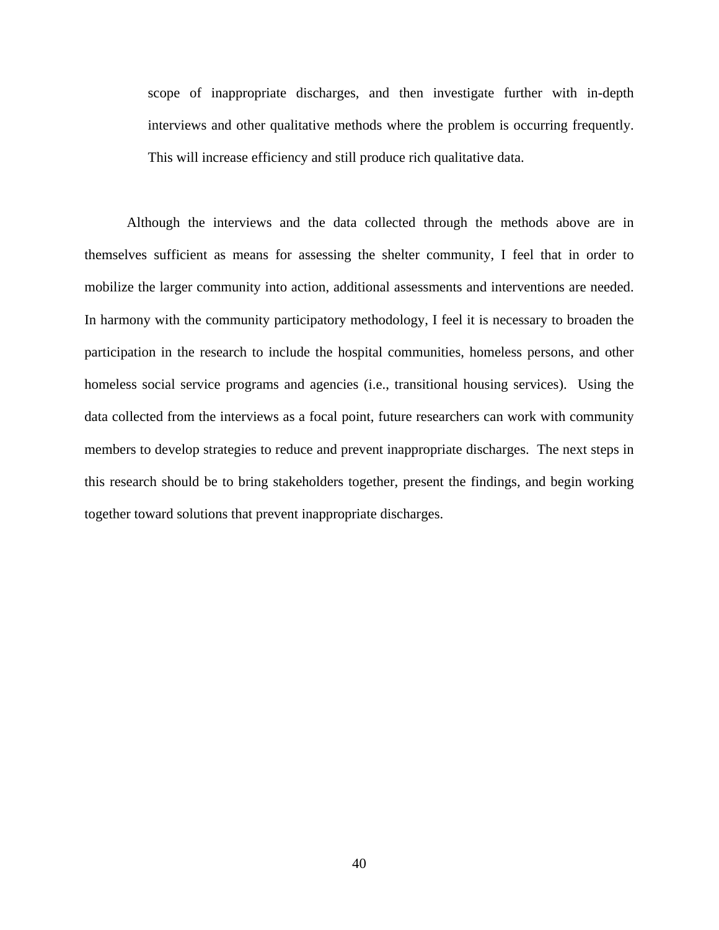scope of inappropriate discharges, and then investigate further with in-depth interviews and other qualitative methods where the problem is occurring frequently. This will increase efficiency and still produce rich qualitative data.

Although the interviews and the data collected through the methods above are in themselves sufficient as means for assessing the shelter community, I feel that in order to mobilize the larger community into action, additional assessments and interventions are needed. In harmony with the community participatory methodology, I feel it is necessary to broaden the participation in the research to include the hospital communities, homeless persons, and other homeless social service programs and agencies (i.e., transitional housing services). Using the data collected from the interviews as a focal point, future researchers can work with community members to develop strategies to reduce and prevent inappropriate discharges. The next steps in this research should be to bring stakeholders together, present the findings, and begin working together toward solutions that prevent inappropriate discharges.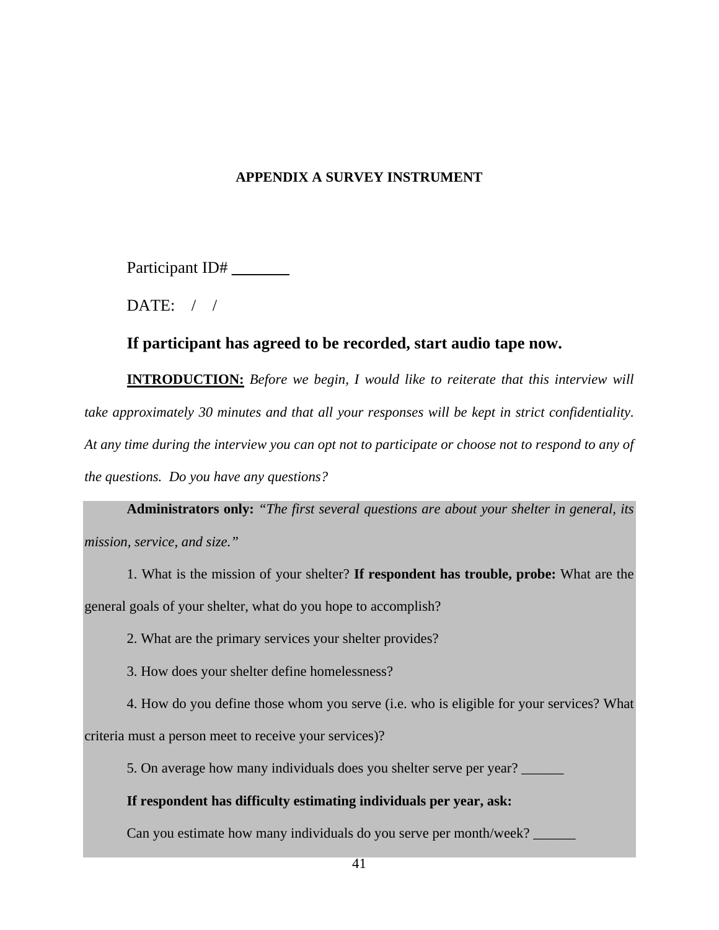# **APPENDIX A SURVEY INSTRUMENT**

<span id="page-50-0"></span>Participant ID# \_\_\_\_\_\_\_

DATE:  $/ /$ 

# **If participant has agreed to be recorded, start audio tape now.**

**INTRODUCTION:** *Before we begin, I would like to reiterate that this interview will take approximately 30 minutes and that all your responses will be kept in strict confidentiality. At any time during the interview you can opt not to participate or choose not to respond to any of the questions. Do you have any questions?* 

**Administrators only:** *"The first several questions are about your shelter in general, its mission, service, and size."* 

1. What is the mission of your shelter? **If respondent has trouble, probe:** What are the general goals of your shelter, what do you hope to accomplish?

2. What are the primary services your shelter provides?

3. How does your shelter define homelessness?

4. How do you define those whom you serve (i.e. who is eligible for your services? What

criteria must a person meet to receive your services)?

5. On average how many individuals does you shelter serve per year? \_\_\_\_\_\_

# **If respondent has difficulty estimating individuals per year, ask:**

Can you estimate how many individuals do you serve per month/week?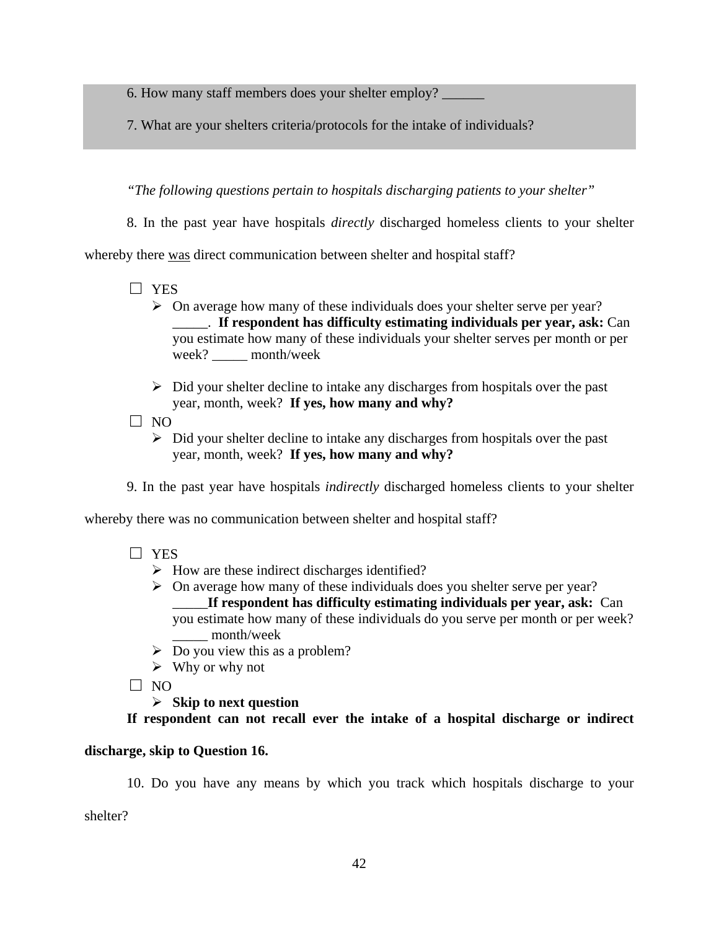6. How many staff members does your shelter employ?

7. What are your shelters criteria/protocols for the intake of individuals?

*"The following questions pertain to hospitals discharging patients to your shelter"* 

8. In the past year have hospitals *directly* discharged homeless clients to your shelter

whereby there was direct communication between shelter and hospital staff?

- □ YES
	- $\triangleright$  On average how many of these individuals does your shelter serve per year? \_\_\_\_\_. **If respondent has difficulty estimating individuals per year, ask:** Can you estimate how many of these individuals your shelter serves per month or per week? month/week
	- $\triangleright$  Did your shelter decline to intake any discharges from hospitals over the past year, month, week? **If yes, how many and why?**
- $\square$  NO
	- $\triangleright$  Did your shelter decline to intake any discharges from hospitals over the past year, month, week? **If yes, how many and why?**

9. In the past year have hospitals *indirectly* discharged homeless clients to your shelter

whereby there was no communication between shelter and hospital staff?

- □ YES
	- $\triangleright$  How are these indirect discharges identified?
	- $\triangleright$  On average how many of these individuals does you shelter serve per year? \_\_\_\_\_**If respondent has difficulty estimating individuals per year, ask:** Can you estimate how many of these individuals do you serve per month or per week? month/week
	- $\triangleright$  Do you view this as a problem?
	- $\triangleright$  Why or why not
- $\Box$  NO

¾ **Skip to next question** 

**If respondent can not recall ever the intake of a hospital discharge or indirect** 

# **discharge, skip to Question 16.**

10. Do you have any means by which you track which hospitals discharge to your

shelter?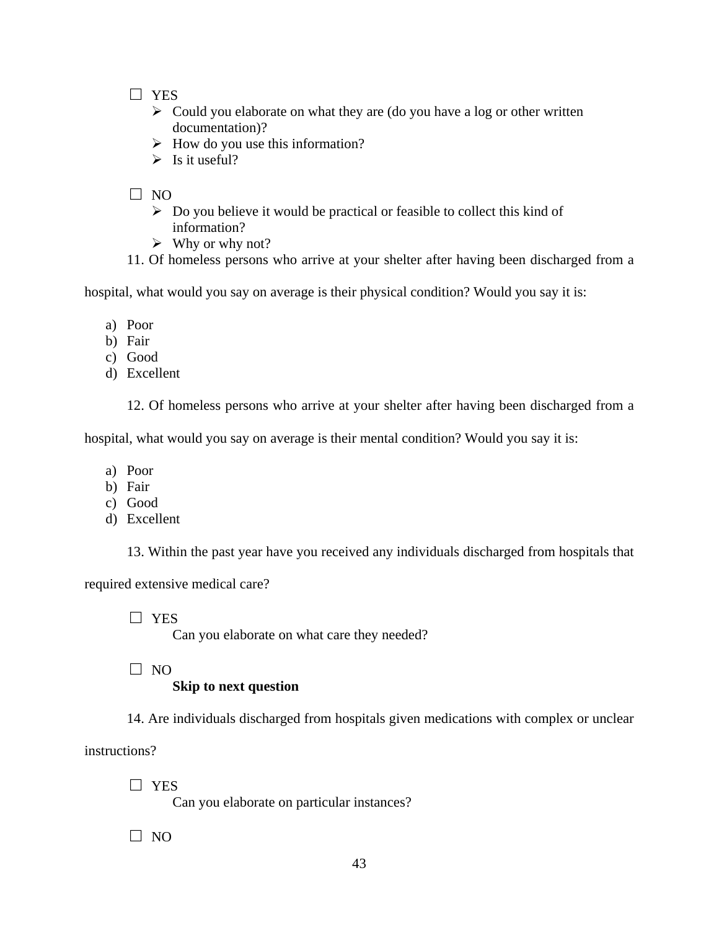□ YES

- $\triangleright$  Could you elaborate on what they are (do you have a log or other written documentation)?
- $\triangleright$  How do you use this information?
- $\triangleright$  Is it useful?

□ NO

- $\triangleright$  Do you believe it would be practical or feasible to collect this kind of information?
- $\triangleright$  Why or why not?
- 11. Of homeless persons who arrive at your shelter after having been discharged from a

hospital, what would you say on average is their physical condition? Would you say it is:

- a) Poor
- b) Fair
- c) Good
- d) Excellent

12. Of homeless persons who arrive at your shelter after having been discharged from a

hospital, what would you say on average is their mental condition? Would you say it is:

- a) Poor
- b) Fair
- c) Good
- d) Excellent

13. Within the past year have you received any individuals discharged from hospitals that

required extensive medical care?

□ YES

Can you elaborate on what care they needed?

 $\Box$  NO

# **Skip to next question**

14. Are individuals discharged from hospitals given medications with complex or unclear

instructions?

□ YES

Can you elaborate on particular instances?

 $\square$  NO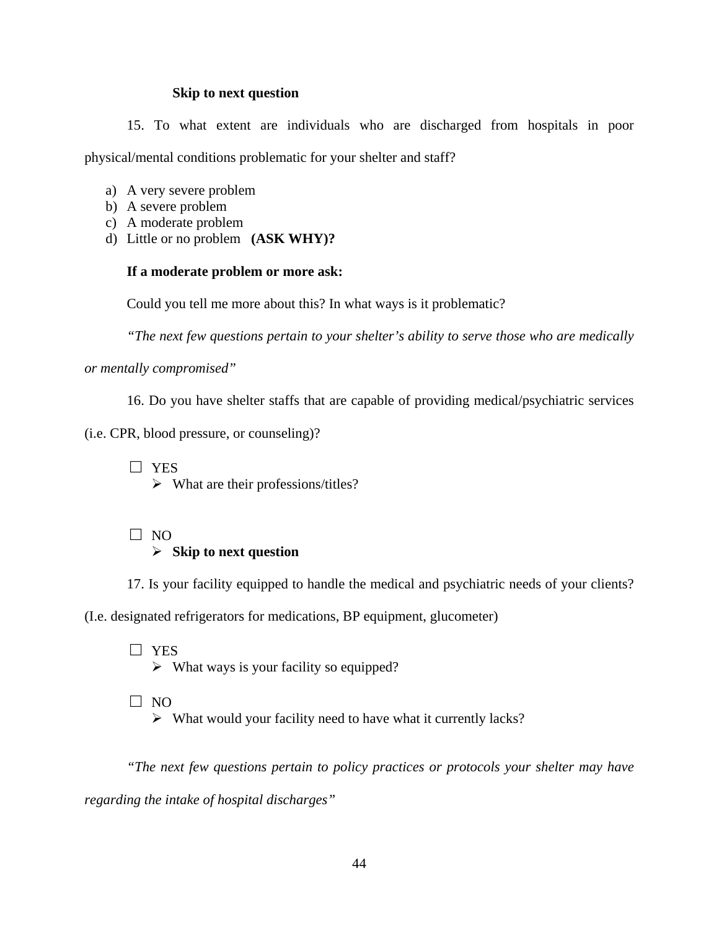### **Skip to next question**

15. To what extent are individuals who are discharged from hospitals in poor physical/mental conditions problematic for your shelter and staff?

- a) A very severe problem
- b) A severe problem
- c) A moderate problem
- d) Little or no problem **(ASK WHY)?**

# **If a moderate problem or more ask:**

Could you tell me more about this? In what ways is it problematic?

*"The next few questions pertain to your shelter's ability to serve those who are medically* 

*or mentally compromised"* 

16. Do you have shelter staffs that are capable of providing medical/psychiatric services

(i.e. CPR, blood pressure, or counseling)?

□ YES  $\triangleright$  What are their professions/titles?

□ NO

# ¾ **Skip to next question**

17. Is your facility equipped to handle the medical and psychiatric needs of your clients?

(I.e. designated refrigerators for medications, BP equipment, glucometer)

□ YES  $\triangleright$  What ways is your facility so equipped?

□ NO

 $\triangleright$  What would your facility need to have what it currently lacks?

*"The next few questions pertain to policy practices or protocols your shelter may have regarding the intake of hospital discharges"*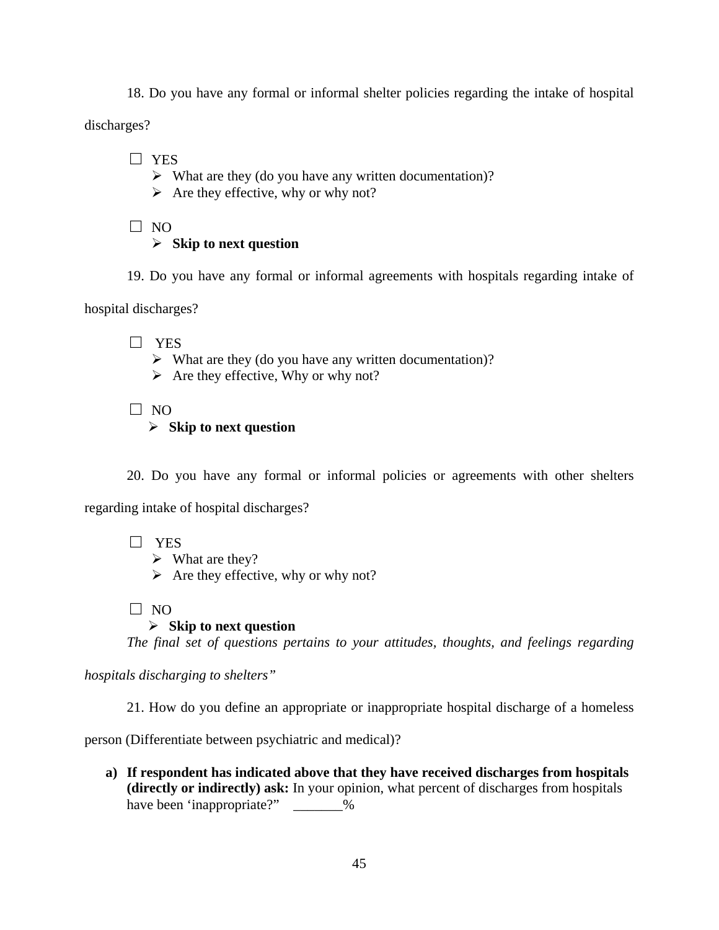18. Do you have any formal or informal shelter policies regarding the intake of hospital

discharges?

□ YES

- $\triangleright$  What are they (do you have any written documentation)?
- $\triangleright$  Are they effective, why or why not?
- □ NO

# ¾ **Skip to next question**

19. Do you have any formal or informal agreements with hospitals regarding intake of

hospital discharges?

□ YES

- $\triangleright$  What are they (do you have any written documentation)?
- $\triangleright$  Are they effective, Why or why not?

□ NO

# ¾ **Skip to next question**

20. Do you have any formal or informal policies or agreements with other shelters

regarding intake of hospital discharges?

□ YES

 $\triangleright$  What are they?

 $\triangleright$  Are they effective, why or why not?

 $\Box$  NO

# ¾ **Skip to next question**

*The final set of questions pertains to your attitudes, thoughts, and feelings regarding* 

*hospitals discharging to shelters"* 

21. How do you define an appropriate or inappropriate hospital discharge of a homeless

person (Differentiate between psychiatric and medical)?

**a) If respondent has indicated above that they have received discharges from hospitals (directly or indirectly) ask:** In your opinion, what percent of discharges from hospitals have been 'inappropriate?"  $\%$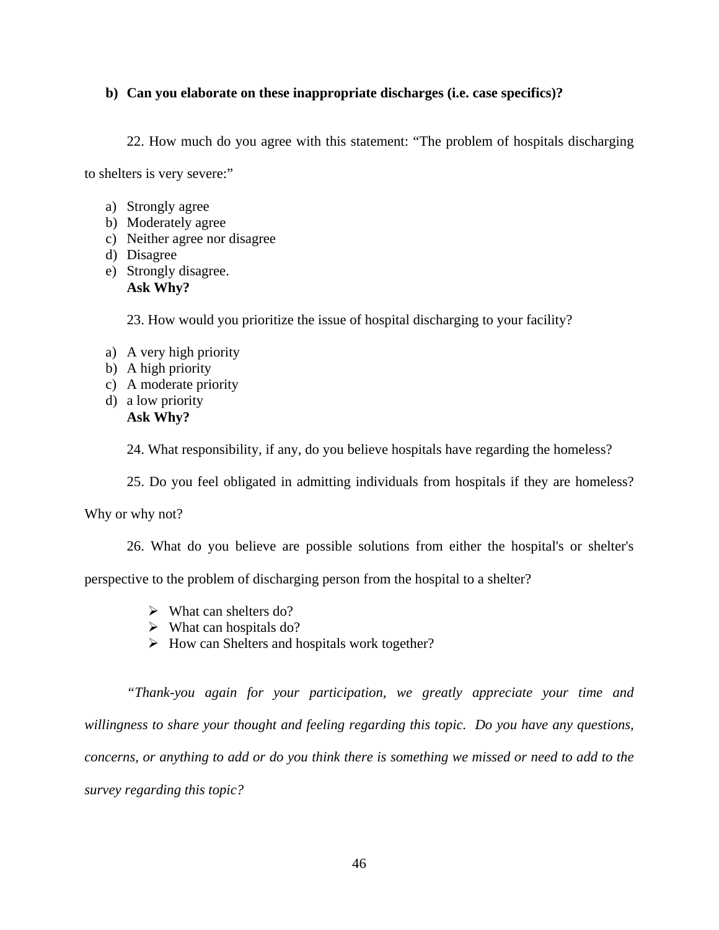# **b) Can you elaborate on these inappropriate discharges (i.e. case specifics)?**

22. How much do you agree with this statement: "The problem of hospitals discharging

to shelters is very severe:"

- a) Strongly agree
- b) Moderately agree
- c) Neither agree nor disagree
- d) Disagree
- e) Strongly disagree. **Ask Why?**

23. How would you prioritize the issue of hospital discharging to your facility?

- a) A very high priority
- b) A high priority
- c) A moderate priority
- d) a low priority **Ask Why?**

24. What responsibility, if any, do you believe hospitals have regarding the homeless?

25. Do you feel obligated in admitting individuals from hospitals if they are homeless?

Why or why not?

26. What do you believe are possible solutions from either the hospital's or shelter's

perspective to the problem of discharging person from the hospital to a shelter?

- $\triangleright$  What can shelters do?
- $\triangleright$  What can hospitals do?
- $\triangleright$  How can Shelters and hospitals work together?

*"Thank-you again for your participation, we greatly appreciate your time and willingness to share your thought and feeling regarding this topic. Do you have any questions, concerns, or anything to add or do you think there is something we missed or need to add to the survey regarding this topic?*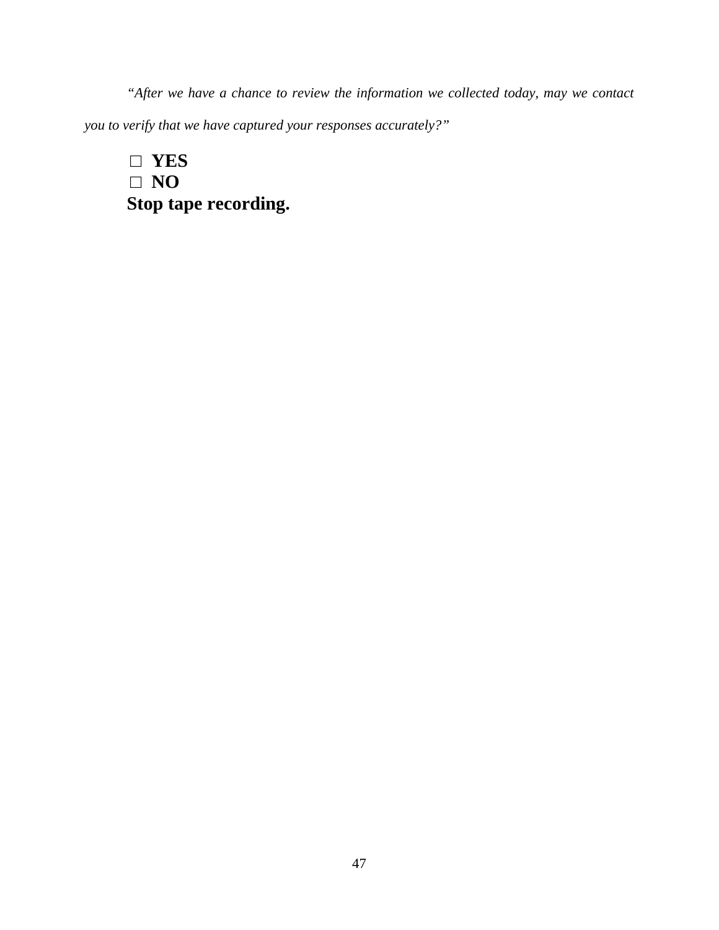*"After we have a chance to review the information we collected today, may we contact you to verify that we have captured your responses accurately?"* 

□ **YES**  □ **NO Stop tape recording.**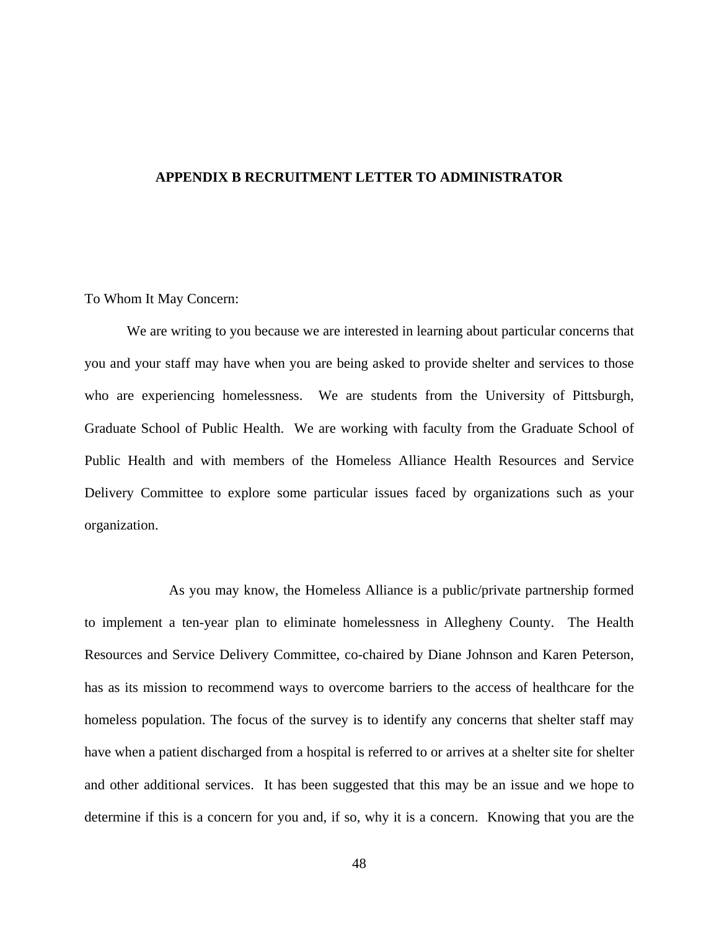### <span id="page-57-0"></span>**APPENDIX B RECRUITMENT LETTER TO ADMINISTRATOR**

### To Whom It May Concern:

We are writing to you because we are interested in learning about particular concerns that you and your staff may have when you are being asked to provide shelter and services to those who are experiencing homelessness. We are students from the University of Pittsburgh, Graduate School of Public Health. We are working with faculty from the Graduate School of Public Health and with members of the Homeless Alliance Health Resources and Service Delivery Committee to explore some particular issues faced by organizations such as your organization.

 As you may know, the Homeless Alliance is a public/private partnership formed to implement a ten-year plan to eliminate homelessness in Allegheny County. The Health Resources and Service Delivery Committee, co-chaired by Diane Johnson and Karen Peterson, has as its mission to recommend ways to overcome barriers to the access of healthcare for the homeless population. The focus of the survey is to identify any concerns that shelter staff may have when a patient discharged from a hospital is referred to or arrives at a shelter site for shelter and other additional services. It has been suggested that this may be an issue and we hope to determine if this is a concern for you and, if so, why it is a concern. Knowing that you are the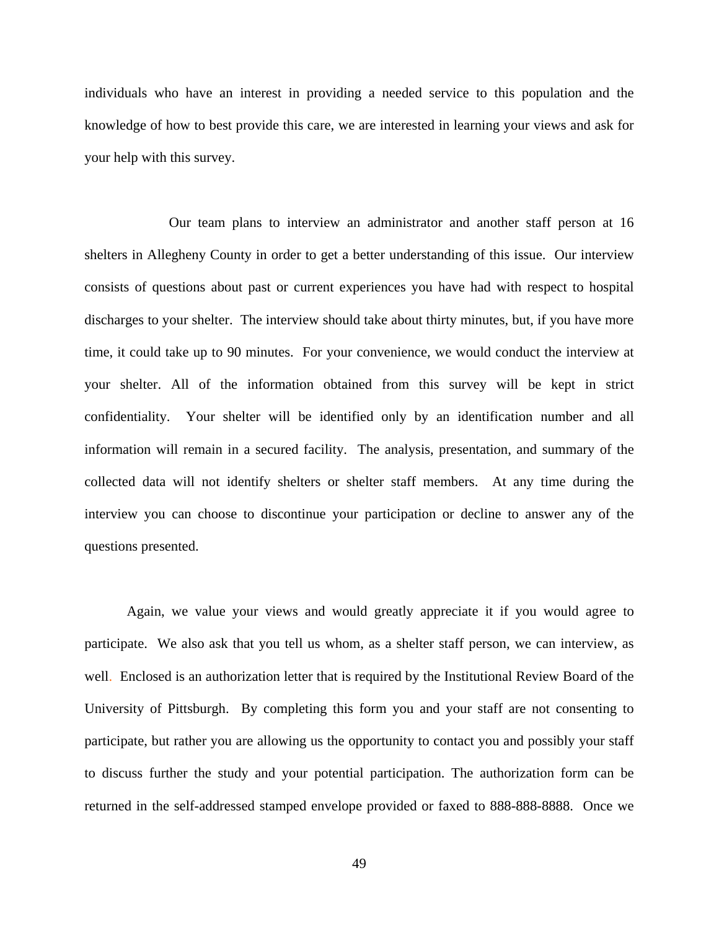individuals who have an interest in providing a needed service to this population and the knowledge of how to best provide this care, we are interested in learning your views and ask for your help with this survey.

 Our team plans to interview an administrator and another staff person at 16 shelters in Allegheny County in order to get a better understanding of this issue. Our interview consists of questions about past or current experiences you have had with respect to hospital discharges to your shelter. The interview should take about thirty minutes, but, if you have more time, it could take up to 90 minutes. For your convenience, we would conduct the interview at your shelter. All of the information obtained from this survey will be kept in strict confidentiality. Your shelter will be identified only by an identification number and all information will remain in a secured facility. The analysis, presentation, and summary of the collected data will not identify shelters or shelter staff members. At any time during the interview you can choose to discontinue your participation or decline to answer any of the questions presented.

Again, we value your views and would greatly appreciate it if you would agree to participate. We also ask that you tell us whom, as a shelter staff person, we can interview, as well. Enclosed is an authorization letter that is required by the Institutional Review Board of the University of Pittsburgh. By completing this form you and your staff are not consenting to participate, but rather you are allowing us the opportunity to contact you and possibly your staff to discuss further the study and your potential participation. The authorization form can be returned in the self-addressed stamped envelope provided or faxed to 888-888-8888. Once we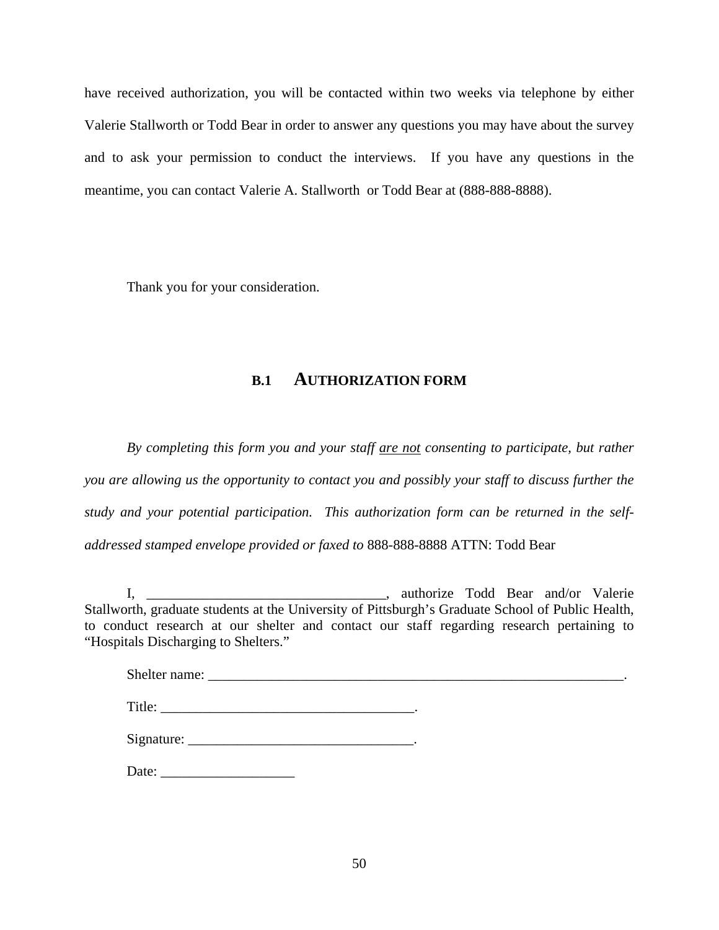have received authorization, you will be contacted within two weeks via telephone by either Valerie Stallworth or Todd Bear in order to answer any questions you may have about the survey and to ask your permission to conduct the interviews. If you have any questions in the meantime, you can contact Valerie A. Stallworth or Todd Bear at (888-888-8888).

Thank you for your consideration.

# **B.1 AUTHORIZATION FORM**

*By completing this form you and your staff are not consenting to participate, but rather you are allowing us the opportunity to contact you and possibly your staff to discuss further the study and your potential participation. This authorization form can be returned in the selfaddressed stamped envelope provided or faxed to* 888-888-8888 ATTN: Todd Bear

I, \_\_\_\_\_\_\_\_\_\_\_\_\_\_\_\_\_\_\_\_\_\_\_\_\_\_\_\_\_\_\_\_\_\_\_, authorize Todd Bear and/or Valerie Stallworth, graduate students at the University of Pittsburgh's Graduate School of Public Health, to conduct research at our shelter and contact our staff regarding research pertaining to "Hospitals Discharging to Shelters."

| Date: $\frac{1}{\sqrt{1-\frac{1}{2}} \cdot \frac{1}{2}}$ |  |  |
|----------------------------------------------------------|--|--|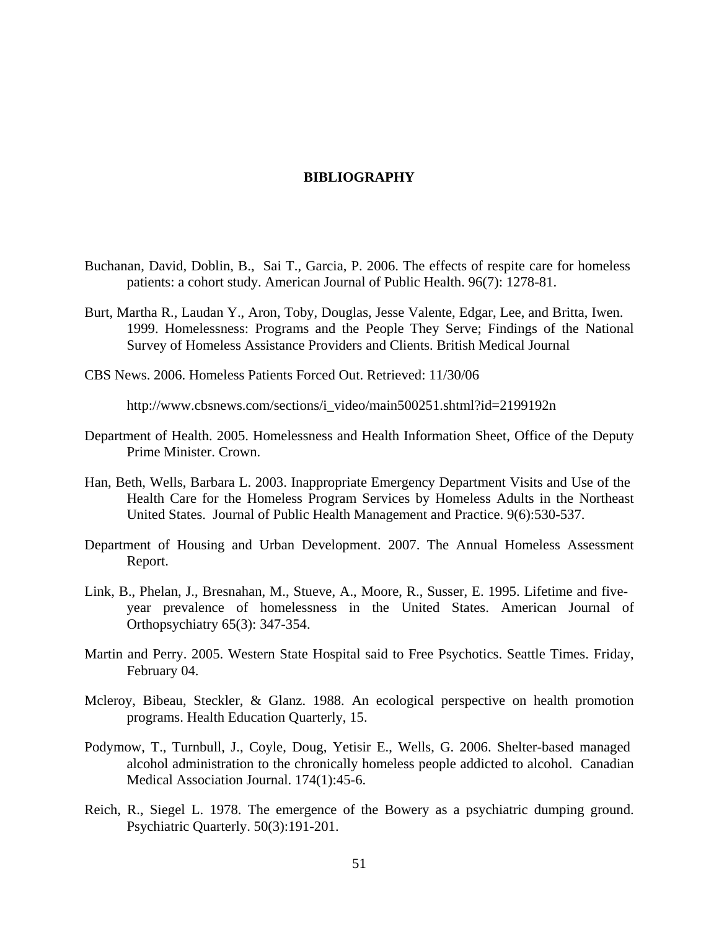### **BIBLIOGRAPHY**

- <span id="page-60-0"></span>Buchanan, David, Doblin, B., Sai T., Garcia, P. 2006. The effects of respite care for homeless patients: a cohort study. American Journal of Public Health. 96(7): 1278-81.
- Burt, Martha R., Laudan Y., Aron, Toby, Douglas, Jesse Valente, Edgar, Lee, and Britta, Iwen. 1999. Homelessness: Programs and the People They Serve; Findings of the National Survey of Homeless Assistance Providers and Clients. British Medical Journal
- CBS News. 2006. Homeless Patients Forced Out. Retrieved: 11/30/06

http://www.cbsnews.com/sections/i\_video/main500251.shtml?id=2199192n

- Department of Health. 2005. Homelessness and Health Information Sheet, Office of the Deputy Prime Minister. Crown.
- Han, Beth, Wells, Barbara L. 2003. Inappropriate Emergency Department Visits and Use of the Health Care for the Homeless Program Services by Homeless Adults in the Northeast United States. Journal of Public Health Management and Practice. 9(6):530-537.
- Department of Housing and Urban Development. 2007. The Annual Homeless Assessment Report.
- Link, B., Phelan, J., Bresnahan, M., Stueve, A., Moore, R., Susser, E. 1995. Lifetime and fiveyear prevalence of homelessness in the United States. American Journal of Orthopsychiatry 65(3): 347-354.
- Martin and Perry. 2005. Western State Hospital said to Free Psychotics. Seattle Times. Friday, February 04.
- Mcleroy, Bibeau, Steckler, & Glanz. 1988. An ecological perspective on health promotion programs. Health Education Quarterly, 15.
- Podymow, T., Turnbull, J., Coyle, Doug, Yetisir E., Wells, G. 2006. Shelter-based managed alcohol administration to the chronically homeless people addicted to alcohol. Canadian Medical Association Journal. 174(1):45-6.
- Reich, R., Siegel L. 1978. The emergence of the Bowery as a psychiatric dumping ground. Psychiatric Quarterly. 50(3):191-201.